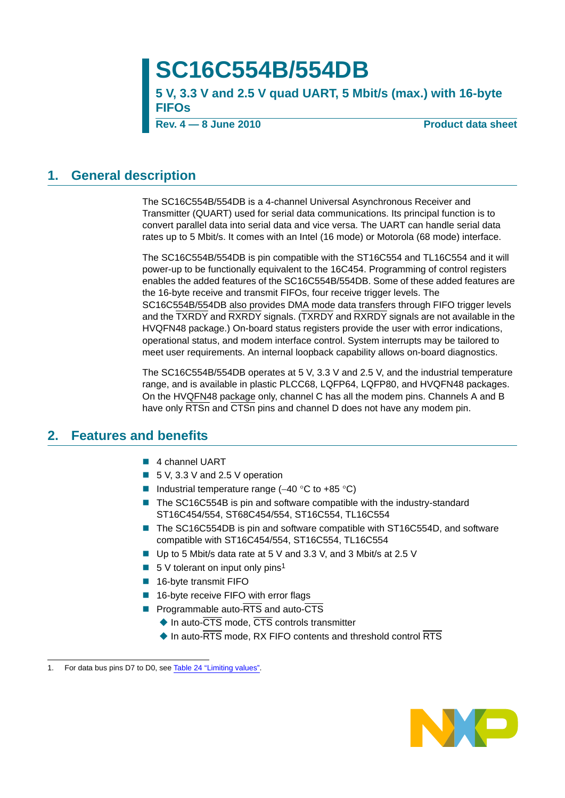# **SC16C554B/554DB**

**5 V, 3.3 V and 2.5 V quad UART, 5 Mbit/s (max.) with 16-byte FIFOs**

**Rev. 4 – 8 June 2010** Product data sheet

### <span id="page-0-2"></span>**1. General description**

The SC16C554B/554DB is a 4-channel Universal Asynchronous Receiver and Transmitter (QUART) used for serial data communications. Its principal function is to convert parallel data into serial data and vice versa. The UART can handle serial data rates up to 5 Mbit/s. It comes with an Intel (16 mode) or Motorola (68 mode) interface.

The SC16C554B/554DB is pin compatible with the ST16C554 and TL16C554 and it will power-up to be functionally equivalent to the 16C454. Programming of control registers enables the added features of the SC16C554B/554DB. Some of these added features are the 16-byte receive and transmit FIFOs, four receive trigger levels. The SC16C554B/554DB also provides DMA mode data transfers through FIFO trigger levels and the TXRDY and RXRDY signals. (TXRDY and RXRDY signals are not available in the HVQFN48 package.) On-board status registers provide the user with error indications, operational status, and modem interface control. System interrupts may be tailored to meet user requirements. An internal loopback capability allows on-board diagnostics.

The SC16C554B/554DB operates at 5 V, 3.3 V and 2.5 V, and the industrial temperature range, and is available in plastic PLCC68, LQFP64, LQFP80, and HVQFN48 packages. On the HVQFN48 package only, channel C has all the modem pins. Channels A and B have only RTSn and CTSn pins and channel D does not have any modem pin.

### <span id="page-0-0"></span>**2. Features and benefits**

- 4 channel UART
- 5 V, 3.3 V and 2.5 V operation
- Industrial temperature range (-40 °C to +85 °C)
- The SC16C554B is pin and software compatible with the industry-standard ST16C454/554, ST68C454/554, ST16C554, TL16C554
- The SC16C554DB is pin and software compatible with ST16C554D, and software compatible with ST16C454/554, ST16C554, TL16C554
- Up to 5 Mbit/s data rate at 5 V and 3.3 V, and 3 Mbit/s at 2.5 V
- <span id="page-0-1"></span> $\blacksquare$  5 V tolerant on input only pins<sup>1</sup>
- 16-byte transmit FIFO
- 16-byte receive FIFO with error flags
- **Programmable auto-RTS and auto-CTS** 
	- $\triangle$  In auto- $\overline{\text{CTS}}$  mode,  $\overline{\text{CTS}}$  controls transmitter
	- $\blacklozenge$  In auto- $\overline{\text{RTS}}$  mode, RX FIFO contents and threshold control  $\overline{\text{RTS}}$



<sup>1.</sup> For data bus pins D7 to D0, see [Table 24 "Limiting values".](#page-36-0)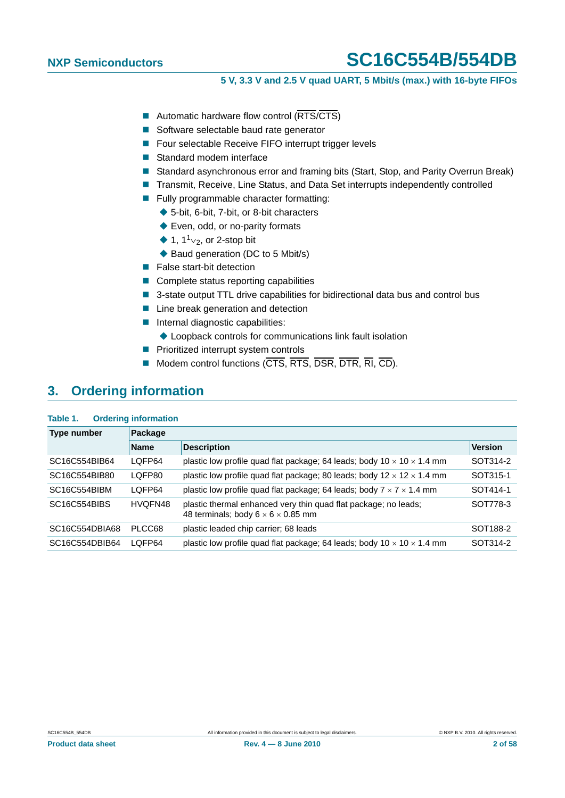### **5 V, 3.3 V and 2.5 V quad UART, 5 Mbit/s (max.) with 16-byte FIFOs**

- Automatic hardware flow control (RTS/CTS)
- Software selectable baud rate generator
- Four selectable Receive FIFO interrupt trigger levels
- Standard modem interface
- Standard asynchronous error and framing bits (Start, Stop, and Parity Overrun Break)
- Transmit, Receive, Line Status, and Data Set interrupts independently controlled
- **Fully programmable character formatting:** 
	- ◆ 5-bit, 6-bit, 7-bit, or 8-bit characters
	- ◆ Even, odd, or no-parity formats
	- $\triangleq 1$ , 1<sup>1</sup> $\vee$ <sub>2</sub>, or 2-stop bit
	- ◆ Baud generation (DC to 5 Mbit/s)
- **False start-bit detection**
- Complete status reporting capabilities
- 3-state output TTL drive capabilities for bidirectional data bus and control bus
- Line break generation and detection
- Internal diagnostic capabilities:
	- Loopback controls for communications link fault isolation
- **Prioritized interrupt system controls**
- $\blacksquare$  Modem control functions ( $\overline{\text{CTS}}, \overline{\text{RTS}}, \overline{\text{DSR}}, \overline{\text{DIR}}, \overline{\text{RI}}, \overline{\text{CD}}$ ).

## <span id="page-1-0"></span>**3. Ordering information**

#### **Table 1. Ordering information**

| Type number    | Package     |                                                                                                                   |                |  |  |  |  |  |
|----------------|-------------|-------------------------------------------------------------------------------------------------------------------|----------------|--|--|--|--|--|
|                | <b>Name</b> | <b>Description</b>                                                                                                | <b>Version</b> |  |  |  |  |  |
| SC16C554BIB64  | LOFP64      | plastic low profile quad flat package; 64 leads; body 10 $\times$ 10 $\times$ 1.4 mm                              | SOT314-2       |  |  |  |  |  |
| SC16C554BIB80  | LOFP80      | plastic low profile quad flat package; 80 leads; body $12 \times 12 \times 1.4$ mm                                | SOT315-1       |  |  |  |  |  |
| SC16C554BIBM   | LOFP64      | plastic low profile quad flat package; 64 leads; body $7 \times 7 \times 1.4$ mm                                  | SOT414-1       |  |  |  |  |  |
| SC16C554BIBS   | HVQFN48     | plastic thermal enhanced very thin quad flat package; no leads;<br>48 terminals; body $6 \times 6 \times 0.85$ mm | SOT778-3       |  |  |  |  |  |
| SC16C554DBIA68 | PLCC68      | plastic leaded chip carrier; 68 leads                                                                             | SOT188-2       |  |  |  |  |  |
| SC16C554DBIB64 | LOFP64      | plastic low profile quad flat package; 64 leads; body $10 \times 10 \times 1.4$ mm                                | SOT314-2       |  |  |  |  |  |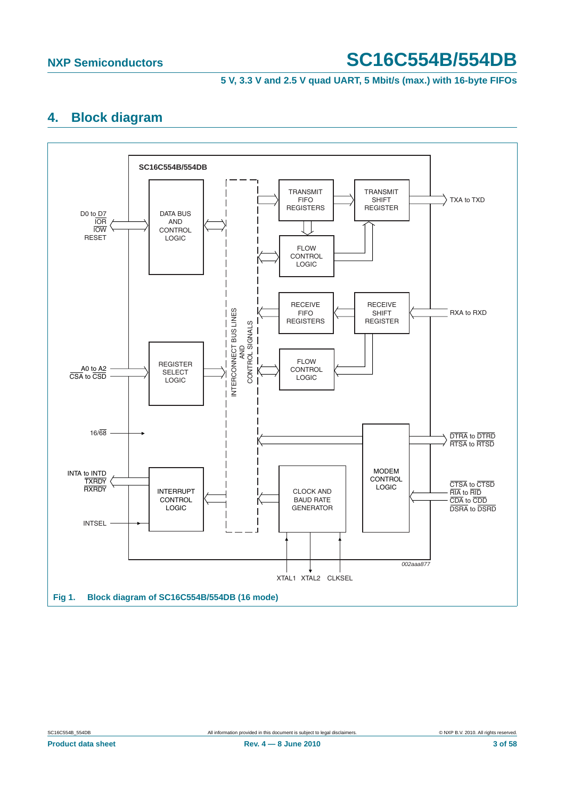#### **5 V, 3.3 V and 2.5 V quad UART, 5 Mbit/s (max.) with 16-byte FIFOs**

## <span id="page-2-1"></span>**4. Block diagram**



<span id="page-2-0"></span>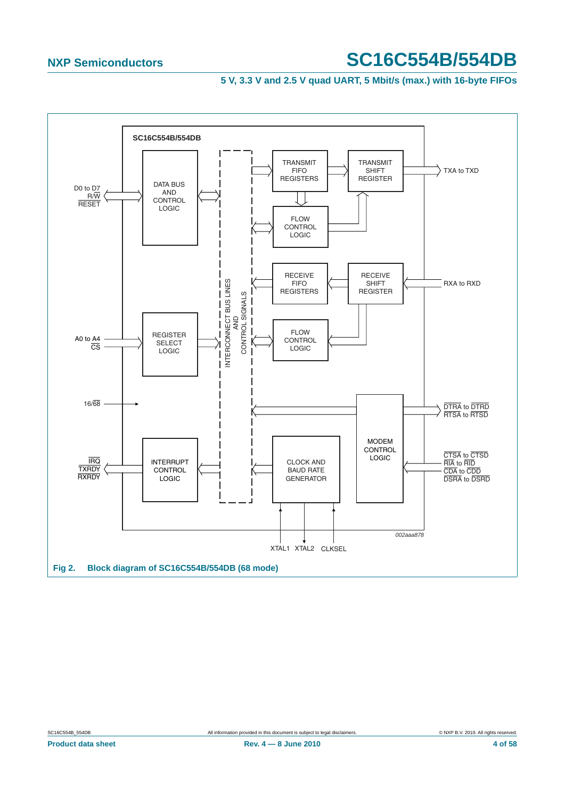<span id="page-3-0"></span>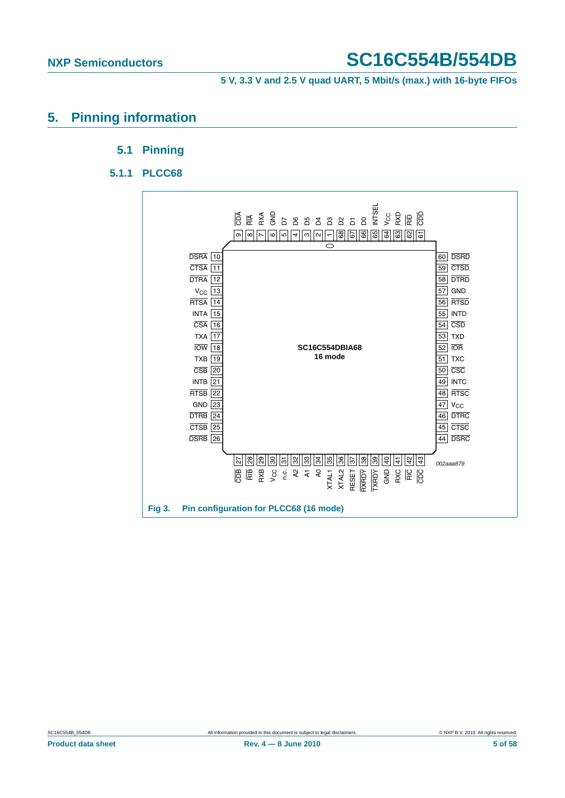**5 V, 3.3 V and 2.5 V quad UART, 5 Mbit/s (max.) with 16-byte FIFOs**

### <span id="page-4-2"></span><span id="page-4-1"></span><span id="page-4-0"></span>**5. Pinning information**

### **5.1 Pinning**

### **5.1.1 PLCC68**

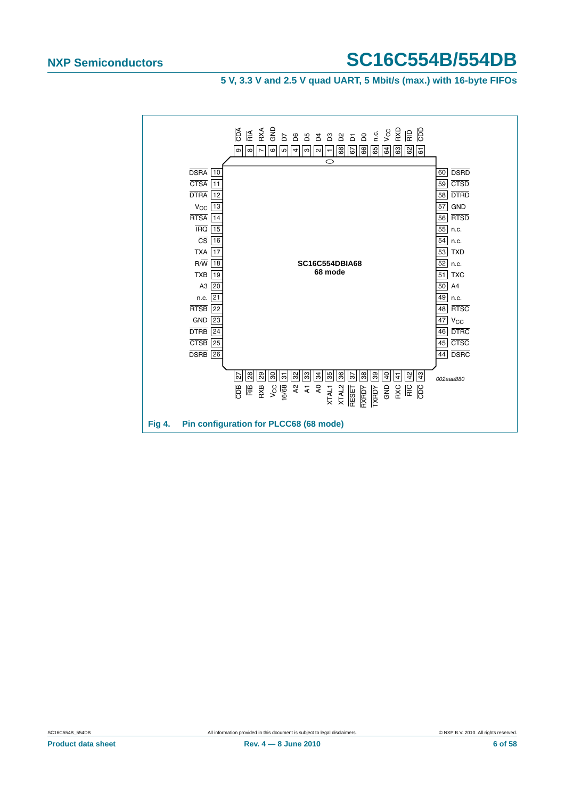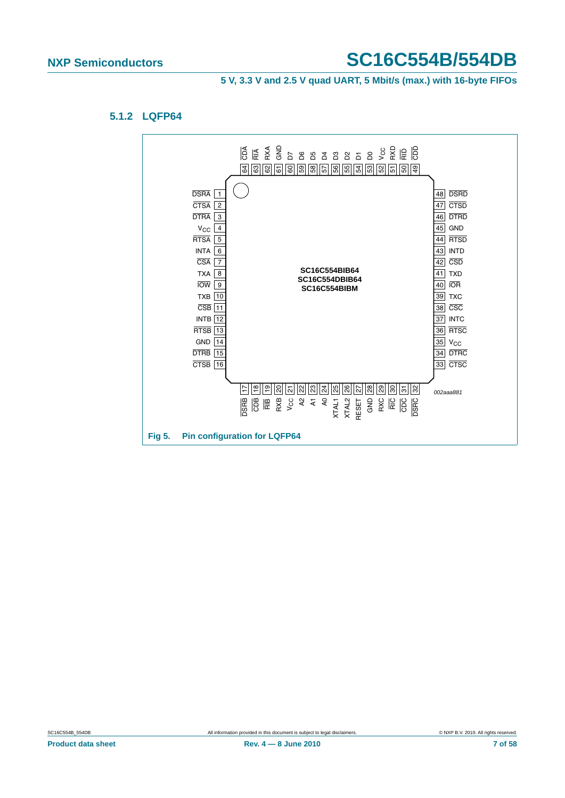#### **5 V, 3.3 V and 2.5 V quad UART, 5 Mbit/s (max.) with 16-byte FIFOs**

#### <span id="page-6-0"></span>**5.1.2 LQFP64**

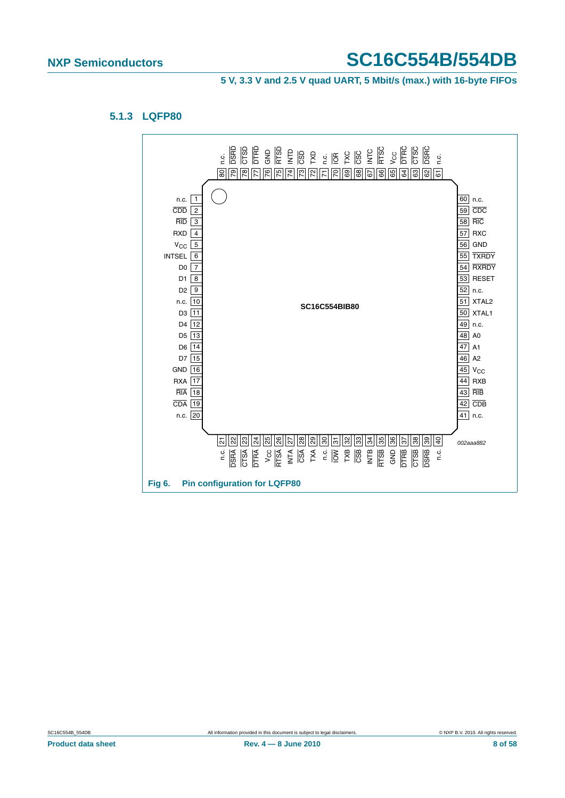#### **5 V, 3.3 V and 2.5 V quad UART, 5 Mbit/s (max.) with 16-byte FIFOs**

#### <span id="page-7-0"></span>**5.1.3 LQFP80**

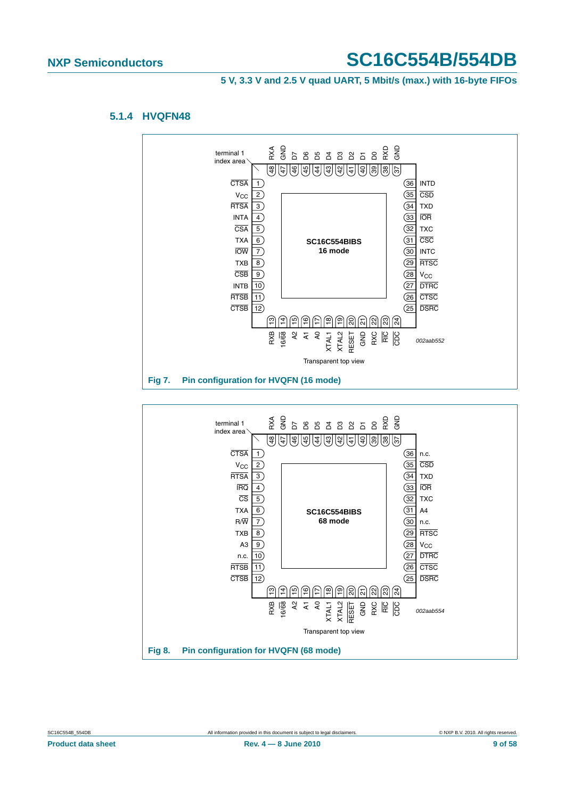**5 V, 3.3 V and 2.5 V quad UART, 5 Mbit/s (max.) with 16-byte FIFOs**

#### <span id="page-8-0"></span>**5.1.4 HVQFN48**



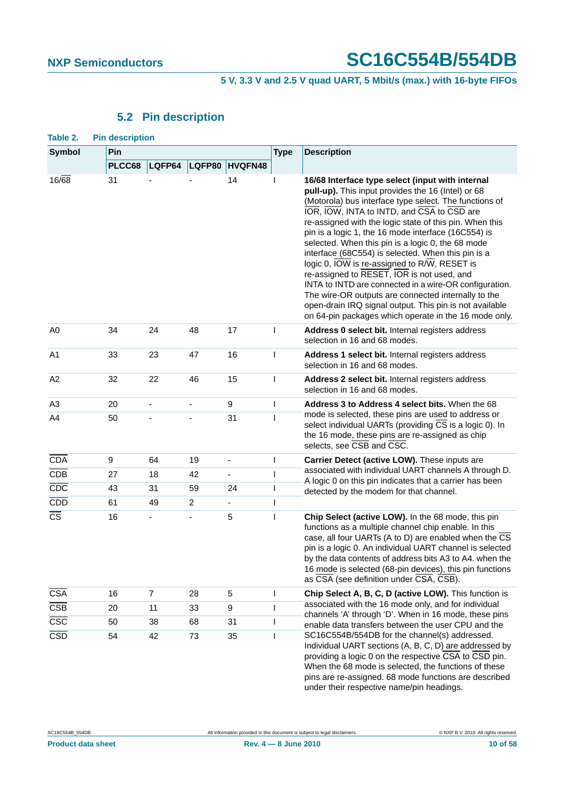**5 V, 3.3 V and 2.5 V quad UART, 5 Mbit/s (max.) with 16-byte FIFOs**

## **5.2 Pin description**

<span id="page-9-1"></span><span id="page-9-0"></span>

| Table 2.                | <b>Pin description</b> |                          |                |                              |                |                                                                                                                                                                                                                                                                                                                                                                                                                                                                                                                                                                                                                                                                                                                                                                                |  |  |
|-------------------------|------------------------|--------------------------|----------------|------------------------------|----------------|--------------------------------------------------------------------------------------------------------------------------------------------------------------------------------------------------------------------------------------------------------------------------------------------------------------------------------------------------------------------------------------------------------------------------------------------------------------------------------------------------------------------------------------------------------------------------------------------------------------------------------------------------------------------------------------------------------------------------------------------------------------------------------|--|--|
| <b>Symbol</b>           | Pin                    |                          |                |                              | <b>Type</b>    | <b>Description</b>                                                                                                                                                                                                                                                                                                                                                                                                                                                                                                                                                                                                                                                                                                                                                             |  |  |
|                         | PLCC68                 | LQFP64                   | LQFP80         | HVQFN48                      |                |                                                                                                                                                                                                                                                                                                                                                                                                                                                                                                                                                                                                                                                                                                                                                                                |  |  |
| $16\sqrt{68}$           | 31                     |                          |                | 14                           |                | 16/68 Interface type select (input with internal<br>pull-up). This input provides the 16 (Intel) or 68<br>(Motorola) bus interface type select. The functions of<br>IOR, IOW, INTA to INTD, and CSA to CSD are<br>re-assigned with the logic state of this pin. When this<br>pin is a logic 1, the 16 mode interface (16C554) is<br>selected. When this pin is a logic 0, the 68 mode<br>interface (68C554) is selected. When this pin is a<br>logic 0, IOW is re-assigned to R/W, RESET is<br>re-assigned to RESET, IOR is not used, and<br>INTA to INTD are connected in a wire-OR configuration.<br>The wire-OR outputs are connected internally to the<br>open-drain IRQ signal output. This pin is not available<br>on 64-pin packages which operate in the 16 mode only. |  |  |
| A0                      | 34                     | 24                       | 48             | 17                           | T              | Address 0 select bit. Internal registers address<br>selection in 16 and 68 modes.                                                                                                                                                                                                                                                                                                                                                                                                                                                                                                                                                                                                                                                                                              |  |  |
| A <sub>1</sub>          | 33                     | 23                       | 47             | 16                           | I              | Address 1 select bit. Internal registers address<br>selection in 16 and 68 modes.                                                                                                                                                                                                                                                                                                                                                                                                                                                                                                                                                                                                                                                                                              |  |  |
| A2                      | 32                     | 22                       | 46             | 15                           | I              | Address 2 select bit. Internal registers address<br>selection in 16 and 68 modes.                                                                                                                                                                                                                                                                                                                                                                                                                                                                                                                                                                                                                                                                                              |  |  |
| A3                      | 20                     | $\overline{\phantom{a}}$ | $\blacksquare$ | 9                            | I              | Address 3 to Address 4 select bits. When the 68                                                                                                                                                                                                                                                                                                                                                                                                                                                                                                                                                                                                                                                                                                                                |  |  |
| A4                      | 50                     |                          |                | 31                           | I              | mode is selected, these pins are used to address or<br>select individual UARTs (providing CS is a logic 0). In<br>the 16 mode, these pins are re-assigned as chip<br>selects, see CSB and CSC.                                                                                                                                                                                                                                                                                                                                                                                                                                                                                                                                                                                 |  |  |
| <b>CDA</b>              | 9                      | 64                       | 19             | $\qquad \qquad \blacksquare$ | T              | Carrier Detect (active LOW). These inputs are                                                                                                                                                                                                                                                                                                                                                                                                                                                                                                                                                                                                                                                                                                                                  |  |  |
| <b>CDB</b>              | 27                     | 18                       | 42             | $\blacksquare$               | T              | associated with individual UART channels A through D.<br>A logic 0 on this pin indicates that a carrier has been                                                                                                                                                                                                                                                                                                                                                                                                                                                                                                                                                                                                                                                               |  |  |
| CDC                     | 43                     | 31                       | 59             | 24                           | I              | detected by the modem for that channel.                                                                                                                                                                                                                                                                                                                                                                                                                                                                                                                                                                                                                                                                                                                                        |  |  |
| CDD                     | 61                     | 49                       | $\overline{c}$ |                              | $\overline{1}$ |                                                                                                                                                                                                                                                                                                                                                                                                                                                                                                                                                                                                                                                                                                                                                                                |  |  |
| $\overline{\text{cs}}$  | 16                     |                          |                | 5                            | $\overline{1}$ | Chip Select (active LOW). In the 68 mode, this pin<br>functions as a multiple channel chip enable. In this<br>case, all four UARTs (A to D) are enabled when the CS<br>pin is a logic 0. An individual UART channel is selected<br>by the data contents of address bits A3 to A4. when the<br>16 mode is selected (68-pin devices), this pin functions<br>as CSA (see definition under CSA, CSB).                                                                                                                                                                                                                                                                                                                                                                              |  |  |
| <b>CSA</b>              | 16                     | $\overline{7}$           | 28             | 5                            | L              | Chip Select A, B, C, D (active LOW). This function is                                                                                                                                                                                                                                                                                                                                                                                                                                                                                                                                                                                                                                                                                                                          |  |  |
| $\overline{\text{CSB}}$ | 20                     | 11                       | 33             | 9                            | L              | associated with the 16 mode only, and for individual<br>channels 'A' through 'D'. When in 16 mode, these pins                                                                                                                                                                                                                                                                                                                                                                                                                                                                                                                                                                                                                                                                  |  |  |
| $\overline{\csc}$       | 50                     | 38                       | 68             | 31                           | I              | enable data transfers between the user CPU and the                                                                                                                                                                                                                                                                                                                                                                                                                                                                                                                                                                                                                                                                                                                             |  |  |
| CSD                     | 54                     | 73<br>42                 |                | 35                           | T              | SC16C554B/554DB for the channel(s) addressed.<br>Individual UART sections (A, B, C, D) are addressed by<br>providing a logic 0 on the respective CSA to CSD pin.<br>When the 68 mode is selected, the functions of these<br>pins are re-assigned. 68 mode functions are described<br>under their respective name/pin headings.                                                                                                                                                                                                                                                                                                                                                                                                                                                 |  |  |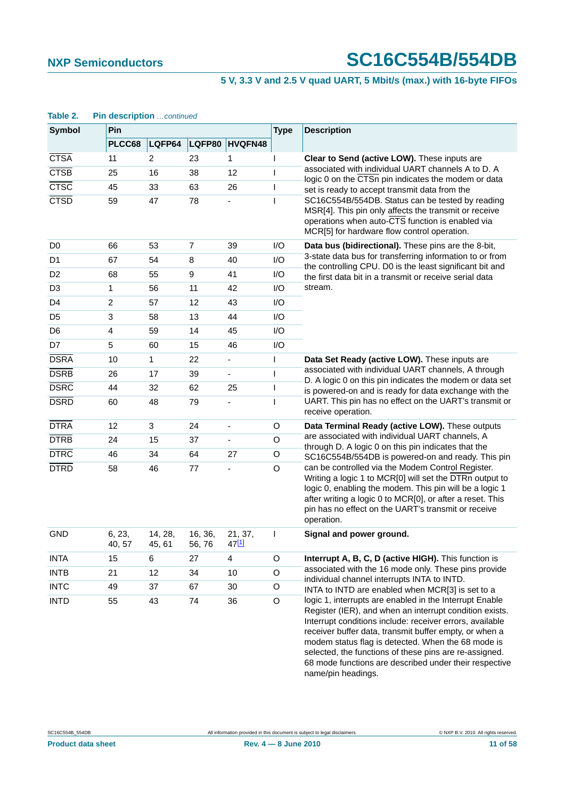#### **5 V, 3.3 V and 2.5 V quad UART, 5 Mbit/s (max.) with 16-byte FIFOs**

#### CTSA 11 2 23 1 I **Clear to Send (active LOW).** These inputs are associated with individual UART channels A to D. A logic 0 on the CTSn pin indicates the modem or data set is ready to accept transmit data from the SC16C554B/554DB. Status can be tested by reading MSR[4]. This pin only affects the transmit or receive operations when auto-CTS function is enabled via MCR[5] for hardware flow control operation. CTSB 25 16 38 12 I CTSC 45 33 63 26 I CTSD 59 47 78 - I D0 66 53 7 39 I/O **Data bus (bidirectional).** These pins are the 8-bit, 3-state data bus for transferring information to or from the controlling CPU. D0 is the least significant bit and the first data bit in a transmit or receive serial data stream. D1 67 54 8 40 I/O D2 68 55 9 41 I/O D3 1 56 11 42 I/O D4 2 57 12 43 I/O D5 3 58 13 44 I/O D6 4 59 14 45 I/O D7 5 60 15 46 I/O DSRA 10 1 22 - I **Data Set Ready (active LOW).** These inputs are associated with individual UART channels, A through D. A logic 0 on this pin indicates the modem or data set is powered-on and is ready for data exchange with the UART. This pin has no effect on the UART's transmit or receive operation. DSRB 26 17 39 - I DSRC 44 32 62 25 I DSRD 60 48 79 - I DTRA 12 3 24 - O **Data Terminal Ready (active LOW).** These outputs are associated with individual UART channels, A through D. A logic 0 on this pin indicates that the SC16C554B/554DB is powered-on and ready. This pin can be controlled via the Modem Control Register. Writing a logic 1 to MCR[0] will set the DTRn output to logic 0, enabling the modem. This pin will be a logic 1 after writing a logic 0 to MCR[0], or after a reset. This pin has no effect on the UART's transmit or receive operation. DTRB 24 15 37 - O DTRC 46 34 64 27 O DTRD 58 46 77 - O GND 6, 23, 40, 57 14, 28, 45, 61 16, 36, 56, 76 21, 37, 4[7\[1\]](#page-13-0) I **Signal and power ground.** INTA 15 6 27 4 O **Interrupt A, B, C, D (active HIGH).** This function is associated with the 16 mode only. These pins provide individual channel interrupts INTA to INTD. INTA to INTD are enabled when MCR[3] is set to a logic 1, interrupts are enabled in the Interrupt Enable Register (IER), and when an interrupt condition exists. Interrupt conditions include: receiver errors, available receiver buffer data, transmit buffer empty, or when a modem status flag is detected. When the 68 mode is selected, the functions of these pins are re-assigned. INTB 21 12 34 10 O INTC 49 37 67 30 O INTD 55 43 74 36 O **Symbol Pin Type Description PLCC68 LQFP64 LQFP80 HVQFN48**

#### **Table 2. Pin description** *…continued*

name/pin headings.

68 mode functions are described under their respective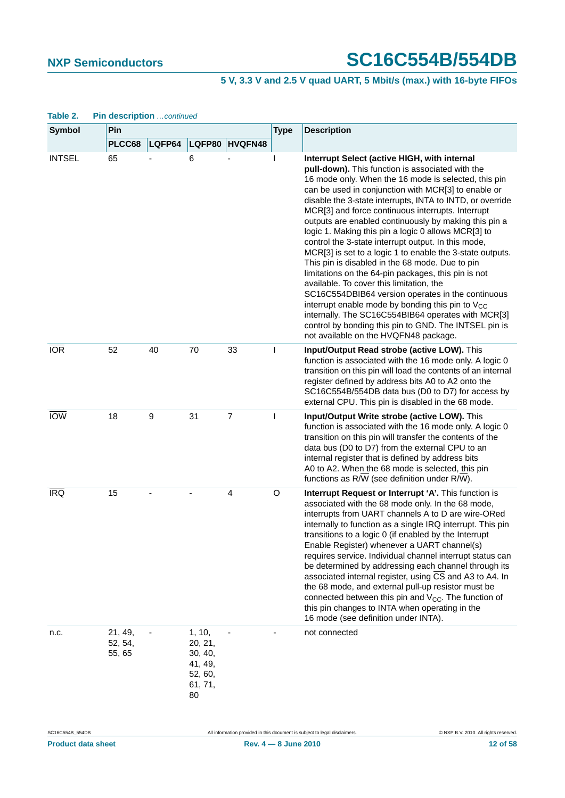### **5 V, 3.3 V and 2.5 V quad UART, 5 Mbit/s (max.) with 16-byte FIFOs**

| <b>Symbol</b> | Pin<br><b>Type</b>           |        |                                                                     |                |   | <b>Description</b>                                                                                                                                                                                                                                                                                                                                                                                                                                                                                                                                                                                                                                                                                                                                                                                                                                                                                                                                                                                       |
|---------------|------------------------------|--------|---------------------------------------------------------------------|----------------|---|----------------------------------------------------------------------------------------------------------------------------------------------------------------------------------------------------------------------------------------------------------------------------------------------------------------------------------------------------------------------------------------------------------------------------------------------------------------------------------------------------------------------------------------------------------------------------------------------------------------------------------------------------------------------------------------------------------------------------------------------------------------------------------------------------------------------------------------------------------------------------------------------------------------------------------------------------------------------------------------------------------|
|               | PLCC68                       | LQFP64 | LQFP80                                                              | HVQFN48        |   |                                                                                                                                                                                                                                                                                                                                                                                                                                                                                                                                                                                                                                                                                                                                                                                                                                                                                                                                                                                                          |
| <b>INTSEL</b> | 65                           |        | 6                                                                   |                | I | Interrupt Select (active HIGH, with internal<br>pull-down). This function is associated with the<br>16 mode only. When the 16 mode is selected, this pin<br>can be used in conjunction with MCR[3] to enable or<br>disable the 3-state interrupts, INTA to INTD, or override<br>MCR[3] and force continuous interrupts. Interrupt<br>outputs are enabled continuously by making this pin a<br>logic 1. Making this pin a logic 0 allows MCR[3] to<br>control the 3-state interrupt output. In this mode,<br>MCR[3] is set to a logic 1 to enable the 3-state outputs.<br>This pin is disabled in the 68 mode. Due to pin<br>limitations on the 64-pin packages, this pin is not<br>available. To cover this limitation, the<br>SC16C554DBIB64 version operates in the continuous<br>interrupt enable mode by bonding this pin to V <sub>CC</sub><br>internally. The SC16C554BIB64 operates with MCR[3]<br>control by bonding this pin to GND. The INTSEL pin is<br>not available on the HVQFN48 package. |
| <b>IOR</b>    | 52                           | 40     | 70                                                                  | 33             | I | Input/Output Read strobe (active LOW). This<br>function is associated with the 16 mode only. A logic 0<br>transition on this pin will load the contents of an internal<br>register defined by address bits A0 to A2 onto the<br>SC16C554B/554DB data bus (D0 to D7) for access by<br>external CPU. This pin is disabled in the 68 mode.                                                                                                                                                                                                                                                                                                                                                                                                                                                                                                                                                                                                                                                                  |
| <b>IOW</b>    | 18                           | 9      | 31                                                                  | $\overline{7}$ | I | Input/Output Write strobe (active LOW). This<br>function is associated with the 16 mode only. A logic 0<br>transition on this pin will transfer the contents of the<br>data bus (D0 to D7) from the external CPU to an<br>internal register that is defined by address bits<br>A0 to A2. When the 68 mode is selected, this pin<br>functions as R/W (see definition under R/W).                                                                                                                                                                                                                                                                                                                                                                                                                                                                                                                                                                                                                          |
| <b>IRQ</b>    | 15                           |        |                                                                     | 4              | O | Interrupt Request or Interrupt 'A'. This function is<br>associated with the 68 mode only. In the 68 mode,<br>interrupts from UART channels A to D are wire-ORed<br>internally to function as a single IRQ interrupt. This pin<br>transitions to a logic 0 (if enabled by the Interrupt<br>Enable Register) whenever a UART channel(s)<br>requires service. Individual channel interrupt status can<br>be determined by addressing each channel through its<br>associated internal register, using $\overline{\text{CS}}$ and A3 to A4. In<br>the 68 mode, and external pull-up resistor must be<br>connected between this pin and $V_{CC}$ . The function of<br>this pin changes to INTA when operating in the<br>16 mode (see definition under INTA).                                                                                                                                                                                                                                                   |
| n.c.          | 21, 49,<br>52, 54,<br>55, 65 |        | 1, 10,<br>20, 21,<br>30, 40,<br>41, 49,<br>52, 60,<br>61, 71,<br>80 |                |   | not connected                                                                                                                                                                                                                                                                                                                                                                                                                                                                                                                                                                                                                                                                                                                                                                                                                                                                                                                                                                                            |

#### **Table 2. Pin description** *…continued*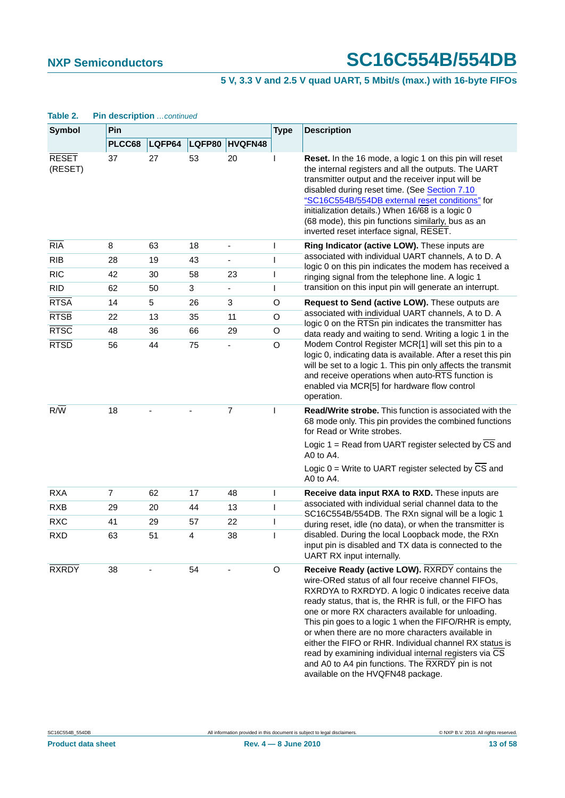### **5 V, 3.3 V and 2.5 V quad UART, 5 Mbit/s (max.) with 16-byte FIFOs**

| Symbol                  | Pin            |        |        |                          | <b>Type</b>    | <b>Description</b>                                                                                                                                                                                                                                                                                                                                                                                                                                                                                                                                                                                        |  |  |
|-------------------------|----------------|--------|--------|--------------------------|----------------|-----------------------------------------------------------------------------------------------------------------------------------------------------------------------------------------------------------------------------------------------------------------------------------------------------------------------------------------------------------------------------------------------------------------------------------------------------------------------------------------------------------------------------------------------------------------------------------------------------------|--|--|
|                         | PLCC68         | LQFP64 | LQFP80 | <b>HVQFN48</b>           |                |                                                                                                                                                                                                                                                                                                                                                                                                                                                                                                                                                                                                           |  |  |
| <b>RESET</b><br>(RESET) | 37             | 27     | 53     | 20                       |                | Reset. In the 16 mode, a logic 1 on this pin will reset<br>the internal registers and all the outputs. The UART<br>transmitter output and the receiver input will be<br>disabled during reset time. (See Section 7.10)<br>"SC16C554B/554DB external reset conditions" for<br>initialization details.) When 16/68 is a logic 0<br>(68 mode), this pin functions similarly, bus as an<br>inverted reset interface signal, RESET.                                                                                                                                                                            |  |  |
| RIA                     | 8              | 63     | 18     | $\overline{\phantom{a}}$ | $\mathbf{I}$   | Ring Indicator (active LOW). These inputs are                                                                                                                                                                                                                                                                                                                                                                                                                                                                                                                                                             |  |  |
| <b>RIB</b>              | 28             | 19     | 43     | ÷,                       | T              | associated with individual UART channels, A to D. A<br>logic 0 on this pin indicates the modem has received a                                                                                                                                                                                                                                                                                                                                                                                                                                                                                             |  |  |
| <b>RIC</b>              | 42             | 30     | 58     | 23                       |                | ringing signal from the telephone line. A logic 1                                                                                                                                                                                                                                                                                                                                                                                                                                                                                                                                                         |  |  |
| <b>RID</b>              | 62             | 50     | 3      | $\blacksquare$           | L              | transition on this input pin will generate an interrupt.                                                                                                                                                                                                                                                                                                                                                                                                                                                                                                                                                  |  |  |
| <b>RTSA</b>             | 14             | 5      | 26     | 3                        | O              | Request to Send (active LOW). These outputs are                                                                                                                                                                                                                                                                                                                                                                                                                                                                                                                                                           |  |  |
| <b>RTSB</b>             | 22             | 13     | 35     | 11                       | O              | associated with individual UART channels, A to D. A<br>logic 0 on the RTSn pin indicates the transmitter has                                                                                                                                                                                                                                                                                                                                                                                                                                                                                              |  |  |
| <b>RTSC</b>             | 48             | 36     | 66     | 29                       | O              | data ready and waiting to send. Writing a logic 1 in the                                                                                                                                                                                                                                                                                                                                                                                                                                                                                                                                                  |  |  |
| <b>RTSD</b>             | 56             | 44     | 75     |                          | O              | Modem Control Register MCR[1] will set this pin to a<br>logic 0, indicating data is available. After a reset this pin<br>will be set to a logic 1. This pin only affects the transmit<br>and receive operations when auto-RTS function is<br>enabled via MCR[5] for hardware flow control<br>operation.                                                                                                                                                                                                                                                                                                   |  |  |
| $R/\overline{W}$        | 18             |        |        | $\overline{7}$           |                | <b>Read/Write strobe.</b> This function is associated with the<br>68 mode only. This pin provides the combined functions<br>for Read or Write strobes.                                                                                                                                                                                                                                                                                                                                                                                                                                                    |  |  |
|                         |                |        |        |                          |                | Logic 1 = Read from UART register selected by CS and<br>A0 to A4.                                                                                                                                                                                                                                                                                                                                                                                                                                                                                                                                         |  |  |
|                         |                |        |        |                          |                | Logic 0 = Write to UART register selected by CS and<br>A0 to $A4$ .                                                                                                                                                                                                                                                                                                                                                                                                                                                                                                                                       |  |  |
| <b>RXA</b>              | $\overline{7}$ | 62     | 17     | 48                       | $\overline{1}$ | Receive data input RXA to RXD. These inputs are                                                                                                                                                                                                                                                                                                                                                                                                                                                                                                                                                           |  |  |
| <b>RXB</b>              | 29             | 20     | 44     | 13                       | T              | associated with individual serial channel data to the<br>SC16C554B/554DB. The RXn signal will be a logic 1                                                                                                                                                                                                                                                                                                                                                                                                                                                                                                |  |  |
| <b>RXC</b>              | 41             | 29     | 57     | 22                       | I              | during reset, idle (no data), or when the transmitter is                                                                                                                                                                                                                                                                                                                                                                                                                                                                                                                                                  |  |  |
| <b>RXD</b>              | 63             | 51     | 4      | 38                       | T              | disabled. During the local Loopback mode, the RXn<br>input pin is disabled and TX data is connected to the<br>UART RX input internally.                                                                                                                                                                                                                                                                                                                                                                                                                                                                   |  |  |
| <b>RXRDY</b>            | 38             |        | 54     |                          | O              | Receive Ready (active LOW). RXRDY contains the<br>wire-ORed status of all four receive channel FIFOs,<br>RXRDYA to RXRDYD. A logic 0 indicates receive data<br>ready status, that is, the RHR is full, or the FIFO has<br>one or more RX characters available for unloading.<br>This pin goes to a logic 1 when the FIFO/RHR is empty,<br>or when there are no more characters available in<br>either the FIFO or RHR. Individual channel RX status is<br>read by examining individual internal registers via CS<br>and A0 to A4 pin functions. The RXRDY pin is not<br>available on the HVQFN48 package. |  |  |

#### **Table 2. Pin description** *…continued*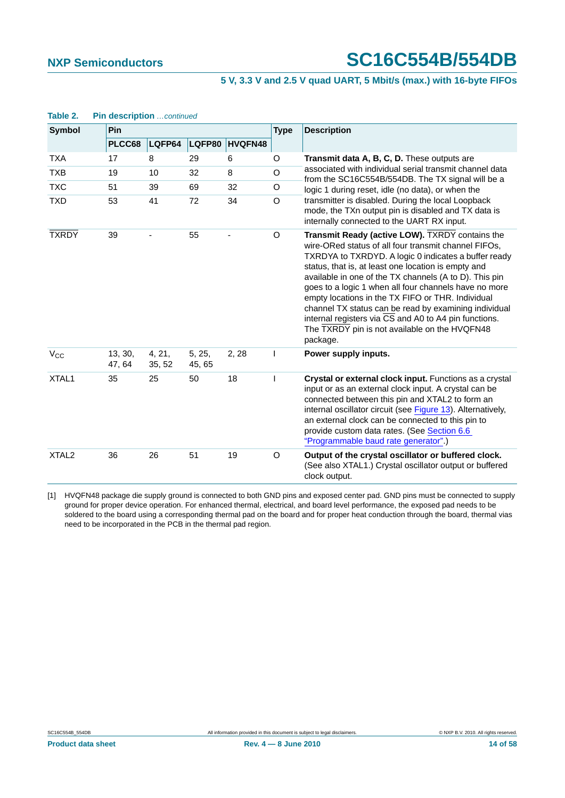#### **5 V, 3.3 V and 2.5 V quad UART, 5 Mbit/s (max.) with 16-byte FIFOs**

| <b>Symbol</b>     | Pin               |                  |                  |                |          | <b>Description</b>                                                                                                                                                                                                                                                                                                                                                                                                                                                                                                                                                            |  |  |  |
|-------------------|-------------------|------------------|------------------|----------------|----------|-------------------------------------------------------------------------------------------------------------------------------------------------------------------------------------------------------------------------------------------------------------------------------------------------------------------------------------------------------------------------------------------------------------------------------------------------------------------------------------------------------------------------------------------------------------------------------|--|--|--|
|                   | PLCC68            | LQFP64           | LQFP80           | <b>HVQFN48</b> |          |                                                                                                                                                                                                                                                                                                                                                                                                                                                                                                                                                                               |  |  |  |
| <b>TXA</b>        | 17                | 8                | 29               | 6              | O        | Transmit data A, B, C, D. These outputs are                                                                                                                                                                                                                                                                                                                                                                                                                                                                                                                                   |  |  |  |
| <b>TXB</b>        | 19                | 10               | 32               | 8              | O        | associated with individual serial transmit channel data<br>from the SC16C554B/554DB. The TX signal will be a                                                                                                                                                                                                                                                                                                                                                                                                                                                                  |  |  |  |
| <b>TXC</b>        | 51                | 39               | 69               | 32             | O        | logic 1 during reset, idle (no data), or when the                                                                                                                                                                                                                                                                                                                                                                                                                                                                                                                             |  |  |  |
| <b>TXD</b>        | 53                | 41               | 72               | 34             | $\Omega$ | transmitter is disabled. During the local Loopback<br>mode, the TXn output pin is disabled and TX data is<br>internally connected to the UART RX input.                                                                                                                                                                                                                                                                                                                                                                                                                       |  |  |  |
| <b>TXRDY</b>      | 39                |                  | 55               |                | $\circ$  | Transmit Ready (active LOW). TXRDY contains the<br>wire-ORed status of all four transmit channel FIFOs,<br>TXRDYA to TXRDYD. A logic 0 indicates a buffer ready<br>status, that is, at least one location is empty and<br>available in one of the TX channels (A to D). This pin<br>goes to a logic 1 when all four channels have no more<br>empty locations in the TX FIFO or THR. Individual<br>channel TX status can be read by examining individual<br>internal registers via CS and A0 to A4 pin functions.<br>The TXRDY pin is not available on the HVQFN48<br>package. |  |  |  |
| $V_{CC}$          | 13, 30,<br>47, 64 | 4, 21,<br>35, 52 | 5, 25,<br>45, 65 | 2, 28          |          | Power supply inputs.                                                                                                                                                                                                                                                                                                                                                                                                                                                                                                                                                          |  |  |  |
| XTAL <sub>1</sub> | 35                | 25               | 50               | 18             | T        | Crystal or external clock input. Functions as a crystal<br>input or as an external clock input. A crystal can be<br>connected between this pin and XTAL2 to form an<br>internal oscillator circuit (see Figure 13). Alternatively,<br>an external clock can be connected to this pin to<br>provide custom data rates. (See Section 6.6<br>"Programmable baud rate generator".)                                                                                                                                                                                                |  |  |  |
| XTAL <sub>2</sub> | 36                | 26               | 51               | 19             | O        | Output of the crystal oscillator or buffered clock.<br>(See also XTAL1.) Crystal oscillator output or buffered<br>clock output.                                                                                                                                                                                                                                                                                                                                                                                                                                               |  |  |  |

# **Table 2. Pin description** *…continued*

<span id="page-13-0"></span>[1] HVQFN48 package die supply ground is connected to both GND pins and exposed center pad. GND pins must be connected to supply ground for proper device operation. For enhanced thermal, electrical, and board level performance, the exposed pad needs to be soldered to the board using a corresponding thermal pad on the board and for proper heat conduction through the board, thermal vias need to be incorporated in the PCB in the thermal pad region.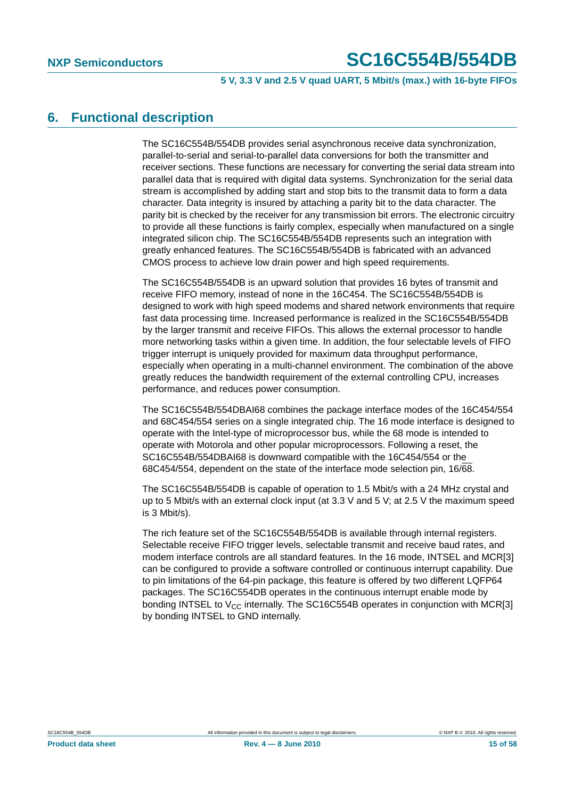**5 V, 3.3 V and 2.5 V quad UART, 5 Mbit/s (max.) with 16-byte FIFOs**

### <span id="page-14-0"></span>**6. Functional description**

The SC16C554B/554DB provides serial asynchronous receive data synchronization, parallel-to-serial and serial-to-parallel data conversions for both the transmitter and receiver sections. These functions are necessary for converting the serial data stream into parallel data that is required with digital data systems. Synchronization for the serial data stream is accomplished by adding start and stop bits to the transmit data to form a data character. Data integrity is insured by attaching a parity bit to the data character. The parity bit is checked by the receiver for any transmission bit errors. The electronic circuitry to provide all these functions is fairly complex, especially when manufactured on a single integrated silicon chip. The SC16C554B/554DB represents such an integration with greatly enhanced features. The SC16C554B/554DB is fabricated with an advanced CMOS process to achieve low drain power and high speed requirements.

The SC16C554B/554DB is an upward solution that provides 16 bytes of transmit and receive FIFO memory, instead of none in the 16C454. The SC16C554B/554DB is designed to work with high speed modems and shared network environments that require fast data processing time. Increased performance is realized in the SC16C554B/554DB by the larger transmit and receive FIFOs. This allows the external processor to handle more networking tasks within a given time. In addition, the four selectable levels of FIFO trigger interrupt is uniquely provided for maximum data throughput performance, especially when operating in a multi-channel environment. The combination of the above greatly reduces the bandwidth requirement of the external controlling CPU, increases performance, and reduces power consumption.

The SC16C554B/554DBAI68 combines the package interface modes of the 16C454/554 and 68C454/554 series on a single integrated chip. The 16 mode interface is designed to operate with the Intel-type of microprocessor bus, while the 68 mode is intended to operate with Motorola and other popular microprocessors. Following a reset, the SC16C554B/554DBAI68 is downward compatible with the 16C454/554 or the 68C454/554, dependent on the state of the interface mode selection pin, 16/68.

The SC16C554B/554DB is capable of operation to 1.5 Mbit/s with a 24 MHz crystal and up to 5 Mbit/s with an external clock input (at 3.3 V and 5 V; at 2.5 V the maximum speed is 3 Mbit/s).

The rich feature set of the SC16C554B/554DB is available through internal registers. Selectable receive FIFO trigger levels, selectable transmit and receive baud rates, and modem interface controls are all standard features. In the 16 mode, INTSEL and MCR[3] can be configured to provide a software controlled or continuous interrupt capability. Due to pin limitations of the 64-pin package, this feature is offered by two different LQFP64 packages. The SC16C554DB operates in the continuous interrupt enable mode by bonding INTSEL to  $V_{CC}$  internally. The SC16C554B operates in conjunction with MCR[3] by bonding INTSEL to GND internally.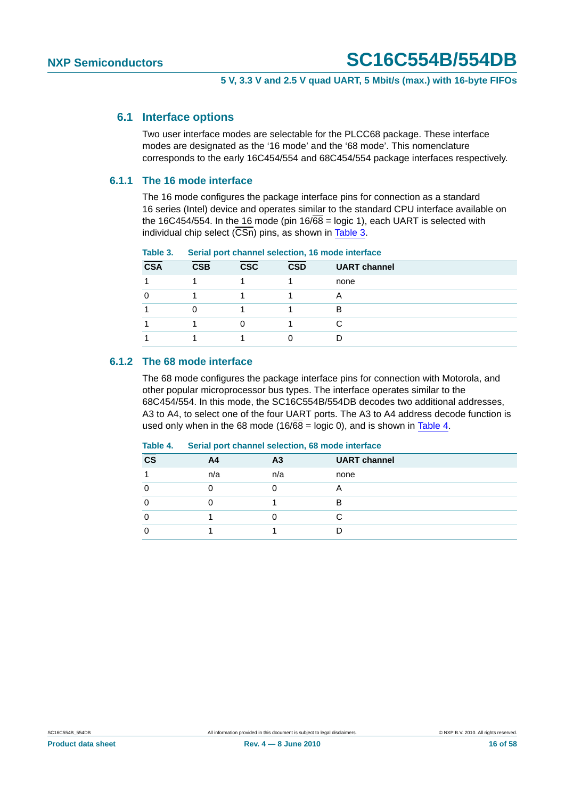#### <span id="page-15-2"></span>**6.1 Interface options**

Two user interface modes are selectable for the PLCC68 package. These interface modes are designated as the '16 mode' and the '68 mode'. This nomenclature corresponds to the early 16C454/554 and 68C454/554 package interfaces respectively.

#### <span id="page-15-3"></span>**6.1.1 The 16 mode interface**

The 16 mode configures the package interface pins for connection as a standard 16 series (Intel) device and operates similar to the standard CPU interface available on the 16C454/554. In the 16 mode (pin  $16/68 =$  logic 1), each UART is selected with individual chip select  $(\overline{CSn})$  pins, as shown in [Table 3](#page-15-0).

| <b>CSA</b> | <b>CSB</b> | <b>CSC</b> | <b>CSD</b> | <b>UART channel</b> |  |  |  |  |  |
|------------|------------|------------|------------|---------------------|--|--|--|--|--|
|            |            |            |            | none                |  |  |  |  |  |
|            |            |            |            | A                   |  |  |  |  |  |
|            |            |            |            | В                   |  |  |  |  |  |
|            |            |            |            |                     |  |  |  |  |  |
|            |            |            |            |                     |  |  |  |  |  |

#### <span id="page-15-0"></span>**Table 3. Serial port channel selection, 16 mode interface**

#### <span id="page-15-4"></span>**6.1.2 The 68 mode interface**

The 68 mode configures the package interface pins for connection with Motorola, and other popular microprocessor bus types. The interface operates similar to the 68C454/554. In this mode, the SC16C554B/554DB decodes two additional addresses, A3 to A4, to select one of the four UART ports. The A3 to A4 address decode function is used only when in the 68 mode (16/ $\overline{68}$  = logic 0), and is shown in [Table 4.](#page-15-1)

#### <span id="page-15-1"></span>**Table 4. Serial port channel selection, 68 mode interface**

| A4  | A <sub>3</sub> | <b>UART</b> channel |
|-----|----------------|---------------------|
| n/a | n/a            | none                |
|     |                |                     |
|     |                | R                   |
|     |                |                     |
|     |                |                     |
|     |                |                     |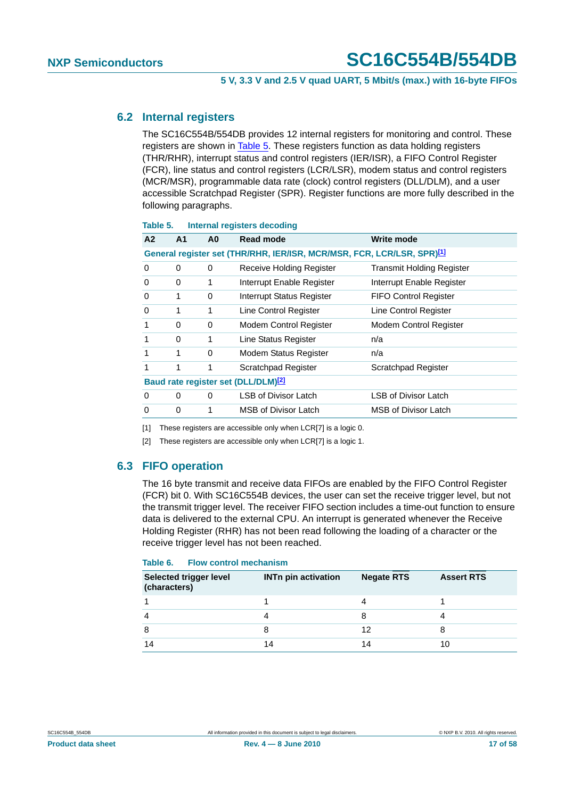#### <span id="page-16-3"></span>**6.2 Internal registers**

The SC16C554B/554DB provides 12 internal registers for monitoring and control. These registers are shown in [Table 5.](#page-16-0) These registers function as data holding registers (THR/RHR), interrupt status and control registers (IER/ISR), a FIFO Control Register (FCR), line status and control registers (LCR/LSR), modem status and control registers (MCR/MSR), programmable data rate (clock) control registers (DLL/DLM), and a user accessible Scratchpad Register (SPR). Register functions are more fully described in the following paragraphs.

| A <sub>2</sub>                                                                     | A <sub>1</sub> | A0 | Read mode                                       | Write mode                       |  |  |  |  |  |
|------------------------------------------------------------------------------------|----------------|----|-------------------------------------------------|----------------------------------|--|--|--|--|--|
| General register set (THR/RHR, IER/ISR, MCR/MSR, FCR, LCR/LSR, SPR) <sup>[1]</sup> |                |    |                                                 |                                  |  |  |  |  |  |
| 0                                                                                  | 0              | 0  | Receive Holding Register                        | <b>Transmit Holding Register</b> |  |  |  |  |  |
| 0                                                                                  | 0              | 1  | Interrupt Enable Register                       | Interrupt Enable Register        |  |  |  |  |  |
| 0                                                                                  | 1              | 0  | Interrupt Status Register                       | <b>FIFO Control Register</b>     |  |  |  |  |  |
| 0                                                                                  | 1              | 1  | Line Control Register                           | Line Control Register            |  |  |  |  |  |
| 1                                                                                  | 0              | 0  | Modem Control Register                          | Modem Control Register           |  |  |  |  |  |
| 1                                                                                  | $\Omega$       | 1  | Line Status Register                            | n/a                              |  |  |  |  |  |
| 1                                                                                  | 1              | 0  | <b>Modem Status Register</b>                    | n/a                              |  |  |  |  |  |
| 1                                                                                  | 1              | 1  | <b>Scratchpad Register</b>                      | Scratchpad Register              |  |  |  |  |  |
|                                                                                    |                |    | Baud rate register set (DLL/DLM) <sup>[2]</sup> |                                  |  |  |  |  |  |
| 0                                                                                  | 0              | 0  | <b>LSB of Divisor Latch</b>                     | LSB of Divisor Latch             |  |  |  |  |  |
| 0                                                                                  | 0              | 1  | MSB of Divisor Latch                            | <b>MSB of Divisor Latch</b>      |  |  |  |  |  |
|                                                                                    |                |    |                                                 |                                  |  |  |  |  |  |

#### <span id="page-16-0"></span>**Table 5. Internal registers decoding**

<span id="page-16-1"></span>[1] These registers are accessible only when LCR[7] is a logic 0.

<span id="page-16-2"></span>[2] These registers are accessible only when LCR[7] is a logic 1.

#### <span id="page-16-4"></span>**6.3 FIFO operation**

The 16 byte transmit and receive data FIFOs are enabled by the FIFO Control Register (FCR) bit 0. With SC16C554B devices, the user can set the receive trigger level, but not the transmit trigger level. The receiver FIFO section includes a time-out function to ensure data is delivered to the external CPU. An interrupt is generated whenever the Receive Holding Register (RHR) has not been read following the loading of a character or the receive trigger level has not been reached.

#### **Table 6. Flow control mechanism**

| <b>Selected trigger level</b><br>(characters) | <b>INTn pin activation</b> | <b>Negate RTS</b> | <b>Assert RTS</b> |
|-----------------------------------------------|----------------------------|-------------------|-------------------|
|                                               |                            |                   |                   |
| $\overline{4}$                                |                            | 8                 |                   |
| 8                                             |                            | 12                |                   |
| 14                                            | 14                         | 14                | 10                |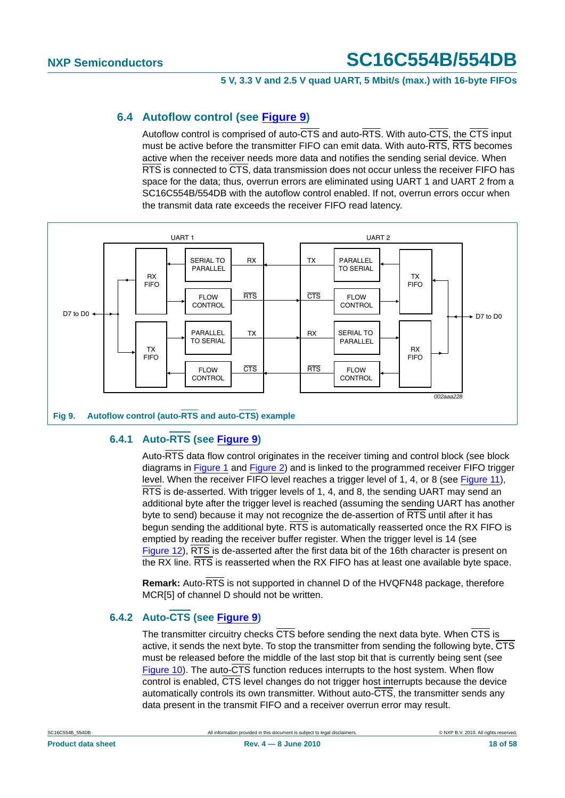### <span id="page-17-2"></span>**6.4 Autoflow control (see [Figure 9\)](#page-17-0)**

Autoflow control is comprised of auto-CTS and auto-RTS. With auto-CTS, the CTS input must be active before the transmitter FIFO can emit data. With auto-RTS, RTS becomes active when the receiver needs more data and notifies the sending serial device. When RTS is connected to CTS, data transmission does not occur unless the receiver FIFO has space for the data; thus, overrun errors are eliminated using UART 1 and UART 2 from a SC16C554B/554DB with the autoflow control enabled. If not, overrun errors occur when the transmit data rate exceeds the receiver FIFO read latency.



### <span id="page-17-1"></span><span id="page-17-0"></span>**6.4.1 Auto-RTS (see [Figure 9\)](#page-17-0)**

Auto-RTS data flow control originates in the receiver timing and control block (see block diagrams in [Figure 1](#page-2-0) and [Figure 2\)](#page-3-0) and is linked to the programmed receiver FIFO trigger level. When the receiver FIFO level reaches a trigger level of 1, 4, or 8 (see [Figure 11](#page-18-0)), RTS is de-asserted. With trigger levels of 1, 4, and 8, the sending UART may send an additional byte after the trigger level is reached (assuming the sending UART has another byte to send) because it may not recognize the de-assertion of RTS until after it has begun sending the additional byte.  $\overline{\text{RTS}}$  is automatically reasserted once the RX FIFO is emptied by reading the receiver buffer register. When the trigger level is 14 (see [Figure 12](#page-19-1)), RTS is de-asserted after the first data bit of the 16th character is present on the RX line. RTS is reasserted when the RX FIFO has at least one available byte space.

**Remark:** Auto-RTS is not supported in channel D of the HVQFN48 package, therefore MCR[5] of channel D should not be written.

### <span id="page-17-3"></span>**6.4.2 Auto-CTS (see [Figure 9\)](#page-17-0)**

The transmitter circuitry checks CTS before sending the next data byte. When CTS is active, it sends the next byte. To stop the transmitter from sending the following byte, CTS must be released before the middle of the last stop bit that is currently being sent (see [Figure 10](#page-18-1)). The auto-CTS function reduces interrupts to the host system. When flow control is enabled, CTS level changes do not trigger host interrupts because the device automatically controls its own transmitter. Without auto-CTS, the transmitter sends any data present in the transmit FIFO and a receiver overrun error may result.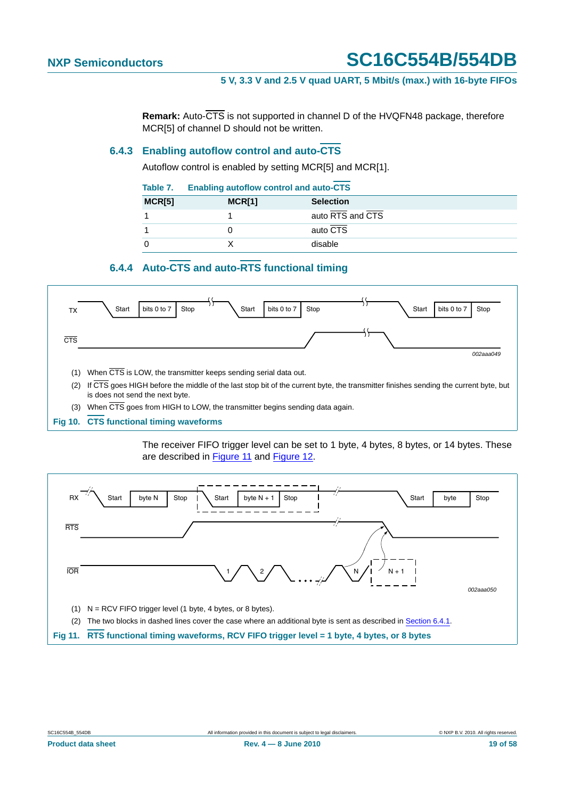**Remark:** Auto-CTS is not supported in channel D of the HVQFN48 package, therefore MCR[5] of channel D should not be written.

#### <span id="page-18-2"></span>**6.4.3 Enabling autoflow control and auto-CTS**

Autoflow control is enabled by setting MCR[5] and MCR[1].

| Table 7. | <b>Enabling autoflow control and auto-CTS</b> |                  |  |
|----------|-----------------------------------------------|------------------|--|
| MCR[5]   | MCR[1]                                        | <b>Selection</b> |  |
|          |                                               | auto RTS and CTS |  |
|          |                                               | auto CTS         |  |
|          |                                               | disable          |  |

## **6.4.4 Auto-CTS and auto-RTS functional timing**

<span id="page-18-3"></span>

#### <span id="page-18-1"></span>**Fig 10. CTS functional timing waveforms**

The receiver FIFO trigger level can be set to 1 byte, 4 bytes, 8 bytes, or 14 bytes. These are described in [Figure 11](#page-18-0) and [Figure 12.](#page-19-1)

<span id="page-18-0"></span>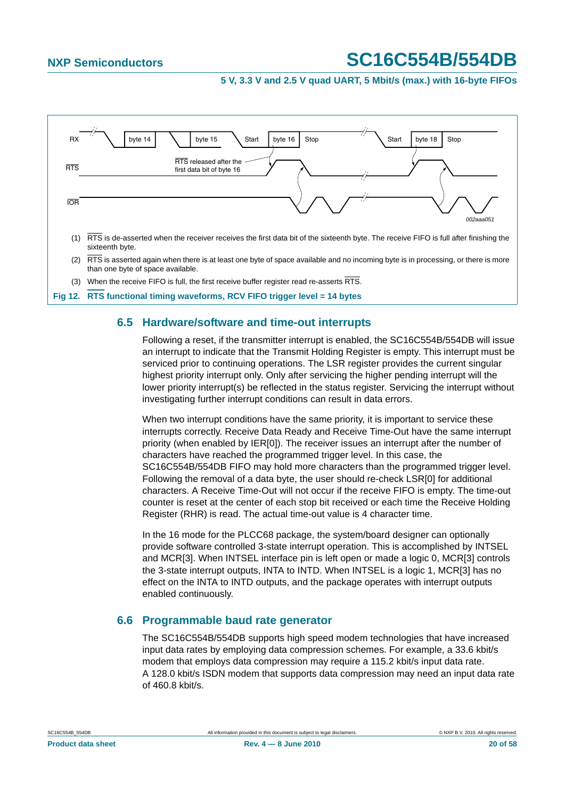#### **5 V, 3.3 V and 2.5 V quad UART, 5 Mbit/s (max.) with 16-byte FIFOs**



### <span id="page-19-2"></span><span id="page-19-1"></span>**6.5 Hardware/software and time-out interrupts**

Following a reset, if the transmitter interrupt is enabled, the SC16C554B/554DB will issue an interrupt to indicate that the Transmit Holding Register is empty. This interrupt must be serviced prior to continuing operations. The LSR register provides the current singular highest priority interrupt only. Only after servicing the higher pending interrupt will the lower priority interrupt(s) be reflected in the status register. Servicing the interrupt without investigating further interrupt conditions can result in data errors.

When two interrupt conditions have the same priority, it is important to service these interrupts correctly. Receive Data Ready and Receive Time-Out have the same interrupt priority (when enabled by IER[0]). The receiver issues an interrupt after the number of characters have reached the programmed trigger level. In this case, the SC16C554B/554DB FIFO may hold more characters than the programmed trigger level. Following the removal of a data byte, the user should re-check LSR[0] for additional characters. A Receive Time-Out will not occur if the receive FIFO is empty. The time-out counter is reset at the center of each stop bit received or each time the Receive Holding Register (RHR) is read. The actual time-out value is 4 character time.

In the 16 mode for the PLCC68 package, the system/board designer can optionally provide software controlled 3-state interrupt operation. This is accomplished by INTSEL and MCR[3]. When INTSEL interface pin is left open or made a logic 0, MCR[3] controls the 3-state interrupt outputs, INTA to INTD. When INTSEL is a logic 1, MCR[3] has no effect on the INTA to INTD outputs, and the package operates with interrupt outputs enabled continuously.

### <span id="page-19-0"></span>**6.6 Programmable baud rate generator**

The SC16C554B/554DB supports high speed modem technologies that have increased input data rates by employing data compression schemes. For example, a 33.6 kbit/s modem that employs data compression may require a 115.2 kbit/s input data rate. A 128.0 kbit/s ISDN modem that supports data compression may need an input data rate of 460.8 kbit/s.

### **Product data sheet 20 of 58 Rev. 4 – 8 June 2010** 2010 2006 58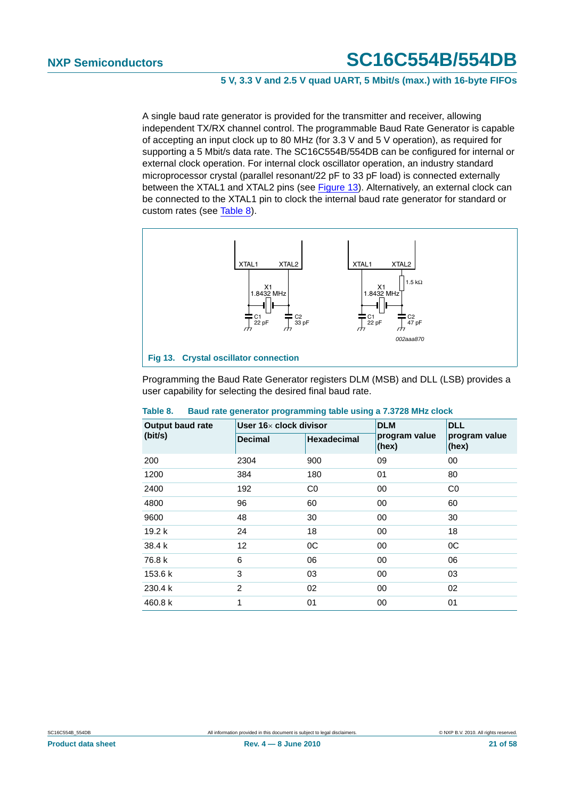#### **5 V, 3.3 V and 2.5 V quad UART, 5 Mbit/s (max.) with 16-byte FIFOs**

A single baud rate generator is provided for the transmitter and receiver, allowing independent TX/RX channel control. The programmable Baud Rate Generator is capable of accepting an input clock up to 80 MHz (for 3.3 V and 5 V operation), as required for supporting a 5 Mbit/s data rate. The SC16C554B/554DB can be configured for internal or external clock operation. For internal clock oscillator operation, an industry standard microprocessor crystal (parallel resonant/22 pF to 33 pF load) is connected externally between the XTAL1 and XTAL2 pins (see [Figure 13\)](#page-20-0). Alternatively, an external clock can be connected to the XTAL1 pin to clock the internal baud rate generator for standard or custom rates (see [Table 8\)](#page-20-1).



<span id="page-20-0"></span>Programming the Baud Rate Generator registers DLM (MSB) and DLL (LSB) provides a user capability for selecting the desired final baud rate.

| <b>Output baud rate</b> | User $16\times$ clock divisor |                    | <b>DLM</b>    | <b>DLL</b>    |
|-------------------------|-------------------------------|--------------------|---------------|---------------|
| (bit/s)                 | <b>Decimal</b>                | <b>Hexadecimal</b> | program value | program value |
|                         |                               |                    | (hex)         | (hex)         |
| 200                     | 2304                          | 900                | 09            | 00            |
| 1200                    | 384                           | 180                | 01            | 80            |
| 2400                    | 192                           | C <sub>0</sub>     | 00            | CO            |
| 4800                    | 96                            | 60                 | 00            | 60            |
| 9600                    | 48                            | 30                 | 00            | 30            |
| 19.2 <sub>k</sub>       | 24                            | 18                 | 00            | 18            |
| 38.4 k                  | 12                            | 0C                 | 00            | 0C            |
| 76.8 k                  | 6                             | 06                 | 00            | 06            |
| 153.6 k                 | 3                             | 03                 | 00            | 03            |
| 230.4 k                 | 2                             | 02                 | 00            | 02            |
| 460.8 k                 | 1                             | 01                 | 00            | 01            |

#### <span id="page-20-1"></span>**Table 8. Baud rate generator programming table using a 7.3728 MHz clock**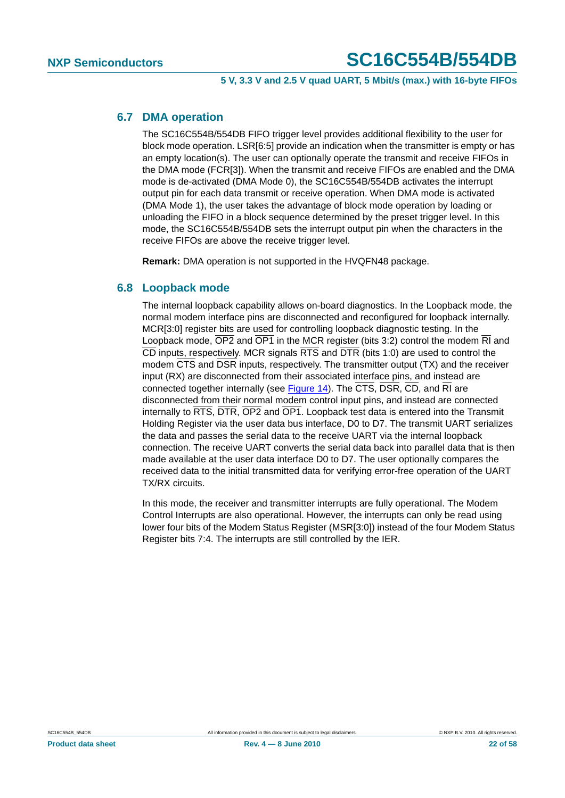#### <span id="page-21-0"></span>**6.7 DMA operation**

The SC16C554B/554DB FIFO trigger level provides additional flexibility to the user for block mode operation. LSR[6:5] provide an indication when the transmitter is empty or has an empty location(s). The user can optionally operate the transmit and receive FIFOs in the DMA mode (FCR[3]). When the transmit and receive FIFOs are enabled and the DMA mode is de-activated (DMA Mode 0), the SC16C554B/554DB activates the interrupt output pin for each data transmit or receive operation. When DMA mode is activated (DMA Mode 1), the user takes the advantage of block mode operation by loading or unloading the FIFO in a block sequence determined by the preset trigger level. In this mode, the SC16C554B/554DB sets the interrupt output pin when the characters in the receive FIFOs are above the receive trigger level.

**Remark:** DMA operation is not supported in the HVQFN48 package.

### <span id="page-21-1"></span>**6.8 Loopback mode**

The internal loopback capability allows on-board diagnostics. In the Loopback mode, the normal modem interface pins are disconnected and reconfigured for loopback internally. MCR[3:0] register bits are used for controlling loopback diagnostic testing. In the Loopback mode, OP2 and OP1 in the MCR register (bits 3:2) control the modem RI and CD inputs, respectively. MCR signals RTS and DTR (bits 1:0) are used to control the modem CTS and DSR inputs, respectively. The transmitter output (TX) and the receiver input (RX) are disconnected from their associated interface pins, and instead are connected together internally (see [Figure 14\)](#page-22-0). The  $\overline{\text{CTS}}$ ,  $\overline{\text{DSR}}$ ,  $\overline{\text{CD}}$ , and  $\overline{\text{RI}}$  are disconnected from their normal modem control input pins, and instead are connected internally to RTS, DTR, OP2 and OP1. Loopback test data is entered into the Transmit Holding Register via the user data bus interface, D0 to D7. The transmit UART serializes the data and passes the serial data to the receive UART via the internal loopback connection. The receive UART converts the serial data back into parallel data that is then made available at the user data interface D0 to D7. The user optionally compares the received data to the initial transmitted data for verifying error-free operation of the UART TX/RX circuits.

In this mode, the receiver and transmitter interrupts are fully operational. The Modem Control Interrupts are also operational. However, the interrupts can only be read using lower four bits of the Modem Status Register (MSR[3:0]) instead of the four Modem Status Register bits 7:4. The interrupts are still controlled by the IER.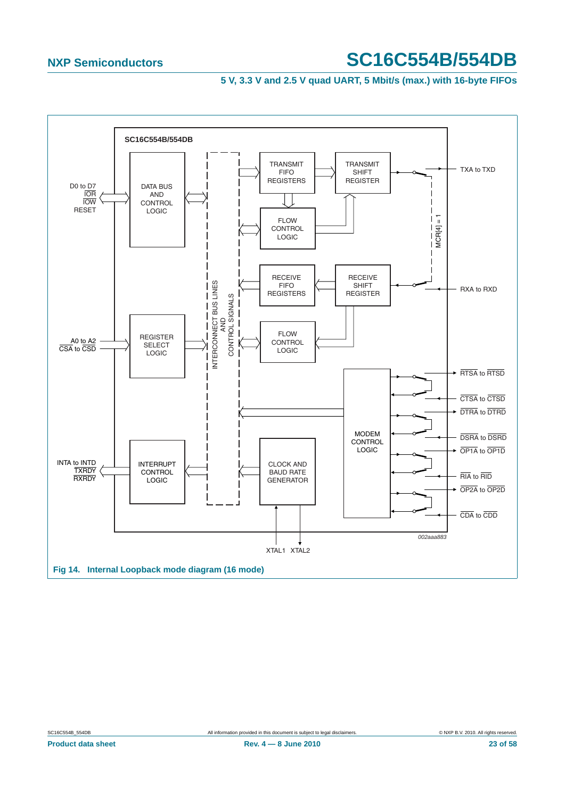<span id="page-22-0"></span>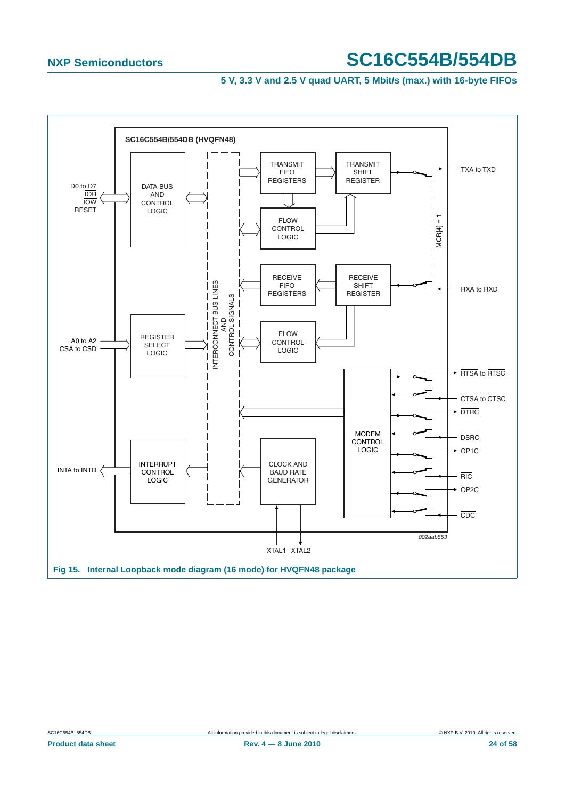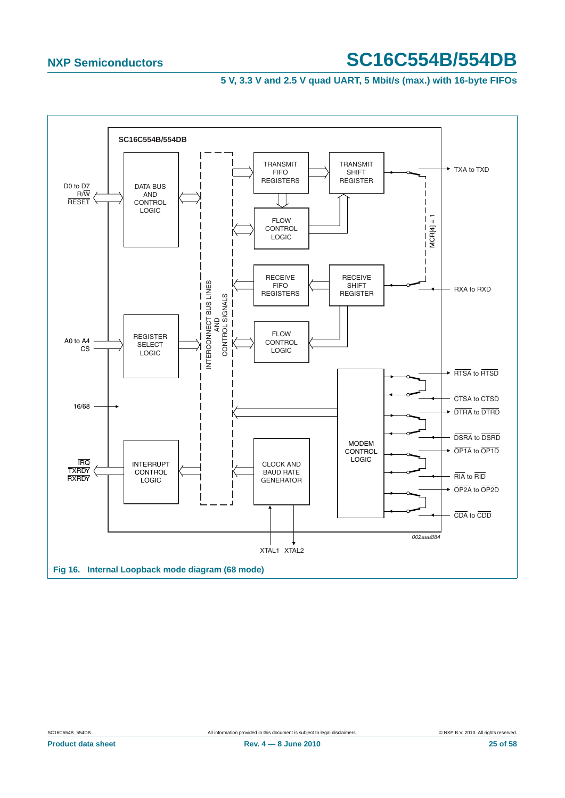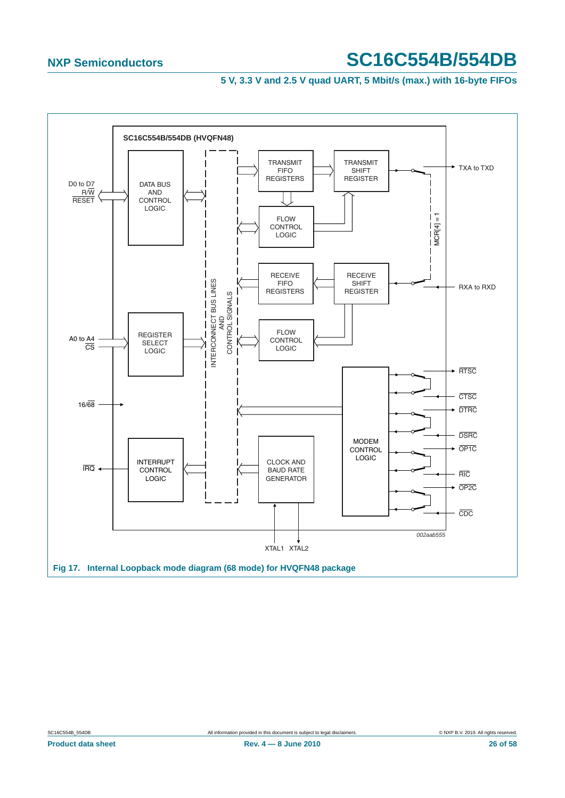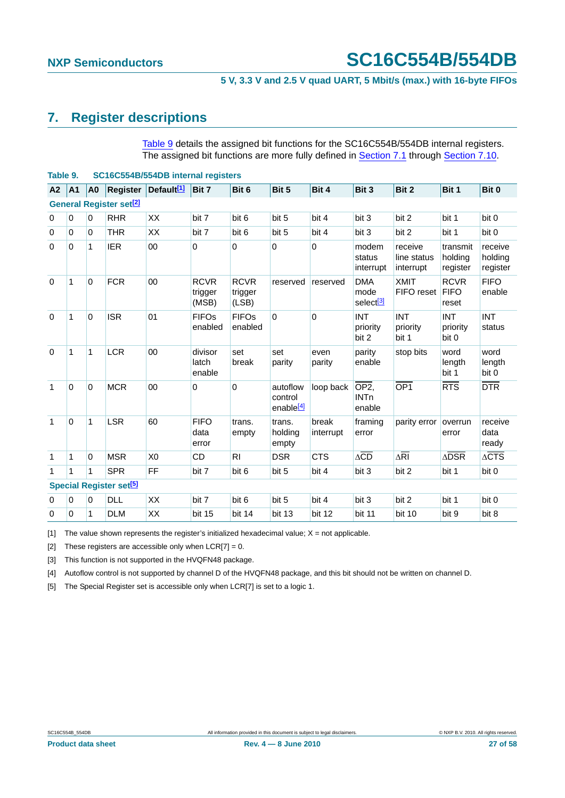## <span id="page-26-6"></span>**7. Register descriptions**

[Table 9](#page-26-0) details the assigned bit functions for the SC16C554B/554DB internal registers. The assigned bit functions are more fully defined in [Section 7.1](#page-27-0) through [Section 7.10](#page-36-1).

<span id="page-26-0"></span>

|                | Table 9.<br>SC16C554B/554DB internal registers |                |                                           |                        |                                 |                                 |                                              |                    |                                             |                                     |                                     |                                |
|----------------|------------------------------------------------|----------------|-------------------------------------------|------------------------|---------------------------------|---------------------------------|----------------------------------------------|--------------------|---------------------------------------------|-------------------------------------|-------------------------------------|--------------------------------|
| A <sub>2</sub> | A <sub>1</sub>                                 | A <sub>0</sub> | <b>Register</b>                           | Default <sup>[1]</sup> | Bit 7                           | Bit 6                           | Bit 5                                        | Bit 4              | Bit 3                                       | Bit 2                               | Bit 1                               | Bit 0                          |
|                | <b>General Register set<sup>[2]</sup></b>      |                |                                           |                        |                                 |                                 |                                              |                    |                                             |                                     |                                     |                                |
| $\mathbf 0$    | $\mathbf 0$                                    | $\overline{0}$ | <b>RHR</b>                                | XX                     | bit 7                           | bit 6                           | bit 5                                        | bit 4              | bit 3                                       | bit 2                               | bit 1                               | bit 0                          |
| 0              | $\Omega$                                       | $\overline{0}$ | <b>THR</b>                                | XX                     | bit 7                           | bit 6                           | bit 5                                        | bit 4              | bit 3                                       | bit 2                               | bit 1                               | bit 0                          |
| 0              | $\mathbf 0$                                    | 1              | <b>IER</b>                                | 00                     | 0                               | $\mathbf 0$                     | 0                                            | 0                  | modem<br>status<br>interrupt                | receive<br>line status<br>interrupt | transmit<br>holding<br>register     | receive<br>holding<br>register |
| $\mathbf 0$    | 1                                              | $\overline{0}$ | <b>FCR</b>                                | 00                     | <b>RCVR</b><br>trigger<br>(MSB) | <b>RCVR</b><br>trigger<br>(LSB) | reserved                                     | reserved           | <b>DMA</b><br>mode<br>select <sup>[3]</sup> | <b>XMIT</b><br>FIFO reset           | <b>RCVR</b><br><b>FIFO</b><br>reset | <b>FIFO</b><br>enable          |
| $\Omega$       | 1                                              | $\overline{0}$ | <b>ISR</b>                                | 01                     | <b>FIFOs</b><br>enabled         | <b>FIFOs</b><br>enabled         | 0                                            | $\Omega$           | <b>INT</b><br>priority<br>bit 2             | <b>INT</b><br>priority<br>bit 1     | <b>INT</b><br>priority<br>bit 0     | <b>INT</b><br>status           |
| $\Omega$       | 1                                              | $\mathbf{1}$   | <b>LCR</b>                                | 00                     | divisor<br>latch<br>enable      | set<br>break                    | set<br>parity                                | even<br>parity     | parity<br>enable                            | stop bits                           | word<br>length<br>bit 1             | word<br>length<br>bit 0        |
| $\mathbf{1}$   | $\Omega$                                       | $\overline{0}$ | <b>MCR</b>                                | 00                     | 0                               | $\Omega$                        | autoflow<br>control<br>enable <sup>[4]</sup> | loop back          | OP <sub>2</sub><br><b>INTn</b><br>enable    | OP <sub>1</sub>                     | RTS                                 | $\overline{DTR}$               |
| $\mathbf{1}$   | $\Omega$                                       | $\mathbf{1}$   | <b>LSR</b>                                | 60                     | <b>FIFO</b><br>data<br>error    | trans.<br>empty                 | trans.<br>holding<br>empty                   | break<br>interrupt | framing<br>error                            | parity error                        | overrun<br>error                    | receive<br>data<br>ready       |
| 1              | 1                                              | $\overline{0}$ | <b>MSR</b>                                | X <sub>0</sub>         | <b>CD</b>                       | R <sub>l</sub>                  | <b>DSR</b>                                   | <b>CTS</b>         | $\Delta\overline{CD}$                       | $\Delta \overline{RI}$              | $\Delta$ DSR                        | $\triangle CTS$                |
| 1              | 1                                              | 1              | <b>SPR</b>                                | FF                     | bit 7                           | bit 6                           | bit 5                                        | bit 4              | bit 3                                       | bit 2                               | bit 1                               | bit 0                          |
|                |                                                |                | <b>Special Register set<sup>[5]</sup></b> |                        |                                 |                                 |                                              |                    |                                             |                                     |                                     |                                |
| 0              | 0                                              | $\overline{0}$ | <b>DLL</b>                                | XX                     | bit 7                           | bit 6                           | bit 5                                        | bit 4              | bit 3                                       | bit 2                               | bit 1                               | bit 0                          |
| $\mathbf 0$    | 0                                              | 1              | <b>DLM</b>                                | XX                     | bit 15                          | bit 14                          | bit 13                                       | bit 12             | bit 11                                      | bit 10                              | bit 9                               | bit 8                          |

<span id="page-26-1"></span>[1] The value shown represents the register's initialized hexadecimal value;  $X = not$  applicable.

<span id="page-26-2"></span>[2] These registers are accessible only when  $LCR[7] = 0$ .

<span id="page-26-3"></span>[3] This function is not supported in the HVQFN48 package.

<span id="page-26-4"></span>[4] Autoflow control is not supported by channel D of the HVQFN48 package, and this bit should not be written on channel D.

<span id="page-26-5"></span>[5] The Special Register set is accessible only when LCR[7] is set to a logic 1.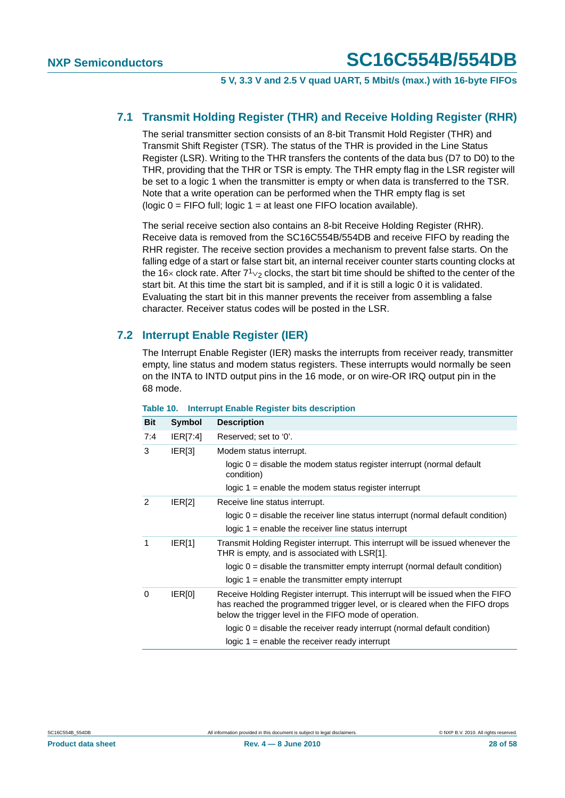### <span id="page-27-0"></span>**7.1 Transmit Holding Register (THR) and Receive Holding Register (RHR)**

The serial transmitter section consists of an 8-bit Transmit Hold Register (THR) and Transmit Shift Register (TSR). The status of the THR is provided in the Line Status Register (LSR). Writing to the THR transfers the contents of the data bus (D7 to D0) to the THR, providing that the THR or TSR is empty. The THR empty flag in the LSR register will be set to a logic 1 when the transmitter is empty or when data is transferred to the TSR. Note that a write operation can be performed when the THR empty flag is set (logic  $0 =$  FIFO full; logic  $1 =$  at least one FIFO location available).

The serial receive section also contains an 8-bit Receive Holding Register (RHR). Receive data is removed from the SC16C554B/554DB and receive FIFO by reading the RHR register. The receive section provides a mechanism to prevent false starts. On the falling edge of a start or false start bit, an internal receiver counter starts counting clocks at the 16× clock rate. After  $7^{1}\nu_{2}$  clocks, the start bit time should be shifted to the center of the start bit. At this time the start bit is sampled, and if it is still a logic 0 it is validated. Evaluating the start bit in this manner prevents the receiver from assembling a false character. Receiver status codes will be posted in the LSR.

### <span id="page-27-1"></span>**7.2 Interrupt Enable Register (IER)**

The Interrupt Enable Register (IER) masks the interrupts from receiver ready, transmitter empty, line status and modem status registers. These interrupts would normally be seen on the INTA to INTD output pins in the 16 mode, or on wire-OR IRQ output pin in the 68 mode.

| Bit | <b>Symbol</b> | <b>Description</b>                                                                                                                                                                                                       |
|-----|---------------|--------------------------------------------------------------------------------------------------------------------------------------------------------------------------------------------------------------------------|
| 7:4 | IER[7:4]      | Reserved; set to '0'.                                                                                                                                                                                                    |
| 3   | IER[3]        | Modem status interrupt.                                                                                                                                                                                                  |
|     |               | $logic 0 = disable the modem status register interrupt (normal default)$<br>condition)                                                                                                                                   |
|     |               | logic $1$ = enable the modem status register interrupt                                                                                                                                                                   |
| 2   | IER[2]        | Receive line status interrupt.                                                                                                                                                                                           |
|     |               | logic $0 =$ disable the receiver line status interrupt (normal default condition)                                                                                                                                        |
|     |               | $logic 1 = enable the receiver line status interrupt$                                                                                                                                                                    |
| 1   | IER[1]        | Transmit Holding Register interrupt. This interrupt will be issued whenever the<br>THR is empty, and is associated with LSR[1].                                                                                          |
|     |               | $logic 0$ = disable the transmitter empty interrupt (normal default condition)                                                                                                                                           |
|     |               | logic $1$ = enable the transmitter empty interrupt                                                                                                                                                                       |
| 0   | IER[0]        | Receive Holding Register interrupt. This interrupt will be issued when the FIFO<br>has reached the programmed trigger level, or is cleared when the FIFO drops<br>below the trigger level in the FIFO mode of operation. |
|     |               | $logic 0$ = disable the receiver ready interrupt (normal default condition)                                                                                                                                              |
|     |               | $logic 1 = enable the receiver ready interrupt$                                                                                                                                                                          |

#### **Table 10. Interrupt Enable Register bits description**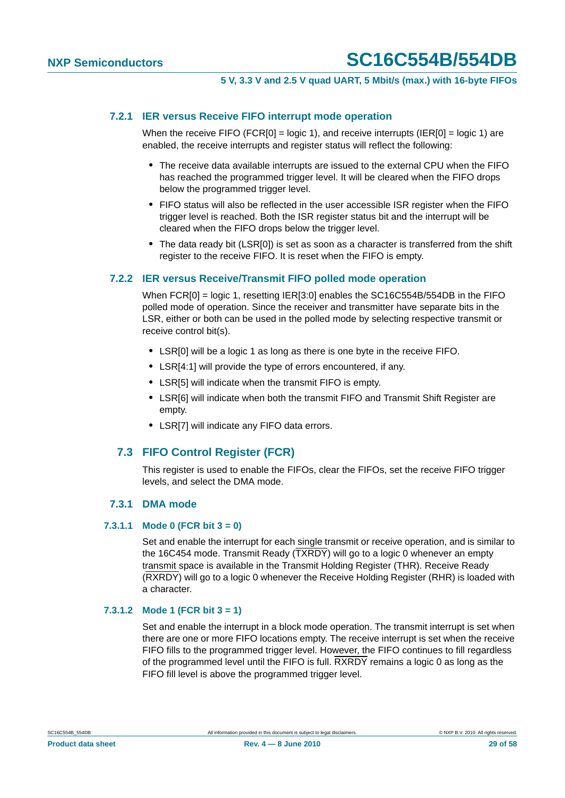#### <span id="page-28-0"></span>**7.2.1 IER versus Receive FIFO interrupt mode operation**

When the receive FIFO (FCR[0] = logic 1), and receive interrupts (IER[0] = logic 1) are enabled, the receive interrupts and register status will reflect the following:

- **•** The receive data available interrupts are issued to the external CPU when the FIFO has reached the programmed trigger level. It will be cleared when the FIFO drops below the programmed trigger level.
- **•** FIFO status will also be reflected in the user accessible ISR register when the FIFO trigger level is reached. Both the ISR register status bit and the interrupt will be cleared when the FIFO drops below the trigger level.
- **•** The data ready bit (LSR[0]) is set as soon as a character is transferred from the shift register to the receive FIFO. It is reset when the FIFO is empty.

#### <span id="page-28-1"></span>**7.2.2 IER versus Receive/Transmit FIFO polled mode operation**

When FCR[0] = logic 1, resetting IER[3:0] enables the SC16C554B/554DB in the FIFO polled mode of operation. Since the receiver and transmitter have separate bits in the LSR, either or both can be used in the polled mode by selecting respective transmit or receive control bit(s).

- **•** LSR[0] will be a logic 1 as long as there is one byte in the receive FIFO.
- **•** LSR[4:1] will provide the type of errors encountered, if any.
- **•** LSR[5] will indicate when the transmit FIFO is empty.
- **•** LSR[6] will indicate when both the transmit FIFO and Transmit Shift Register are empty.
- **•** LSR[7] will indicate any FIFO data errors.

#### <span id="page-28-2"></span>**7.3 FIFO Control Register (FCR)**

This register is used to enable the FIFOs, clear the FIFOs, set the receive FIFO trigger levels, and select the DMA mode.

#### **7.3.1 DMA mode**

#### <span id="page-28-4"></span><span id="page-28-3"></span>**7.3.1.1 Mode 0 (FCR bit 3 = 0)**

Set and enable the interrupt for each single transmit or receive operation, and is similar to the 16C454 mode. Transmit Ready (TXRDY) will go to a logic 0 whenever an empty transmit space is available in the Transmit Holding Register (THR). Receive Ready (RXRDY) will go to a logic 0 whenever the Receive Holding Register (RHR) is loaded with a character.

#### <span id="page-28-5"></span>**7.3.1.2 Mode 1 (FCR bit 3 = 1)**

Set and enable the interrupt in a block mode operation. The transmit interrupt is set when there are one or more FIFO locations empty. The receive interrupt is set when the receive FIFO fills to the programmed trigger level. However, the FIFO continues to fill regardless of the programmed level until the FIFO is full. RXRDY remains a logic 0 as long as the FIFO fill level is above the programmed trigger level.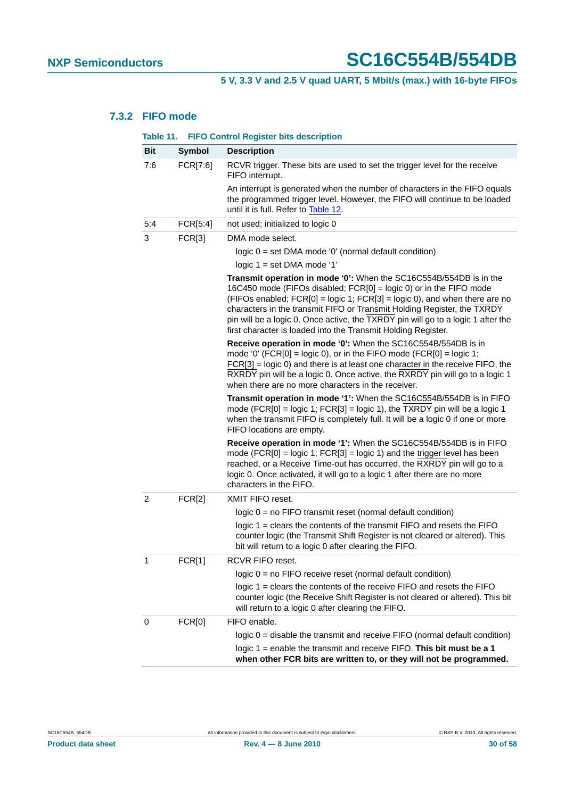### <span id="page-29-0"></span>**7.3.2 FIFO mode**

|                | Table 11. FIFO Control Register bits description |                                                                                                                                                                                                                                                                                                                                                                                                                                                          |  |  |  |  |
|----------------|--------------------------------------------------|----------------------------------------------------------------------------------------------------------------------------------------------------------------------------------------------------------------------------------------------------------------------------------------------------------------------------------------------------------------------------------------------------------------------------------------------------------|--|--|--|--|
| <b>Bit</b>     | <b>Symbol</b>                                    | <b>Description</b>                                                                                                                                                                                                                                                                                                                                                                                                                                       |  |  |  |  |
| 7:6            | FCR[7:6]                                         | RCVR trigger. These bits are used to set the trigger level for the receive<br>FIFO interrupt.                                                                                                                                                                                                                                                                                                                                                            |  |  |  |  |
|                |                                                  | An interrupt is generated when the number of characters in the FIFO equals<br>the programmed trigger level. However, the FIFO will continue to be loaded<br>until it is full. Refer to Table 12.                                                                                                                                                                                                                                                         |  |  |  |  |
| 5:4            | FCR[5:4]                                         | not used; initialized to logic 0                                                                                                                                                                                                                                                                                                                                                                                                                         |  |  |  |  |
| 3              | FCR[3]                                           | DMA mode select.                                                                                                                                                                                                                                                                                                                                                                                                                                         |  |  |  |  |
|                |                                                  | logic 0 = set DMA mode '0' (normal default condition)                                                                                                                                                                                                                                                                                                                                                                                                    |  |  |  |  |
|                |                                                  | logic $1 = set$ DMA mode '1'                                                                                                                                                                                                                                                                                                                                                                                                                             |  |  |  |  |
|                |                                                  | Transmit operation in mode '0': When the SC16C554B/554DB is in the<br>16C450 mode (FIFOs disabled; FCR[0] = logic 0) or in the FIFO mode<br>$(FIFOs enabled; FCR[0] = logic 1; FCR[3] = logic 0), and when there are no$<br>characters in the transmit FIFO or Transmit Holding Register, the TXRDY<br>pin will be a logic 0. Once active, the TXRDY pin will go to a logic 1 after the<br>first character is loaded into the Transmit Holding Register. |  |  |  |  |
|                |                                                  | Receive operation in mode '0': When the SC16C554B/554DB is in<br>mode '0' (FCR[0] = logic 0), or in the FIFO mode (FCR[0] = logic 1;<br>$FCR[3] = logic 0$ and there is at least one character in the receive $FIFO$ , the<br>RXRDY pin will be a logic 0. Once active, the RXRDY pin will go to a logic 1<br>when there are no more characters in the receiver.                                                                                         |  |  |  |  |
|                |                                                  | Transmit operation in mode '1': When the SC16C554B/554DB is in FIFO<br>mode (FCR[0] = logic 1; FCR[3] = logic 1), the TXRDY pin will be a logic 1<br>when the transmit FIFO is completely full. It will be a logic 0 if one or more<br>FIFO locations are empty.                                                                                                                                                                                         |  |  |  |  |
|                |                                                  | Receive operation in mode '1': When the SC16C554B/554DB is in FIFO<br>mode (FCR[0] = logic 1; $FCR[3]$ = logic 1) and the trigger level has been<br>reached, or a Receive Time-out has occurred, the RXRDY pin will go to a<br>logic 0. Once activated, it will go to a logic 1 after there are no more<br>characters in the FIFO.                                                                                                                       |  |  |  |  |
| $\overline{2}$ | FCR[2]                                           | XMIT FIFO reset.                                                                                                                                                                                                                                                                                                                                                                                                                                         |  |  |  |  |
|                |                                                  | $logic 0 = no FIFO transmit reset (normal default condition)$                                                                                                                                                                                                                                                                                                                                                                                            |  |  |  |  |
|                |                                                  | logic 1 = clears the contents of the transmit FIFO and resets the FIFO<br>counter logic (the Transmit Shift Register is not cleared or altered). This<br>bit will return to a logic 0 after clearing the FIFO.                                                                                                                                                                                                                                           |  |  |  |  |
| 1              | FCR[1]                                           | RCVR FIFO reset.                                                                                                                                                                                                                                                                                                                                                                                                                                         |  |  |  |  |
|                |                                                  | $logic 0 = no FIFO receive reset (normal default condition)$                                                                                                                                                                                                                                                                                                                                                                                             |  |  |  |  |
|                |                                                  | logic 1 = clears the contents of the receive FIFO and resets the FIFO<br>counter logic (the Receive Shift Register is not cleared or altered). This bit<br>will return to a logic 0 after clearing the FIFO.                                                                                                                                                                                                                                             |  |  |  |  |
| 0              | FCR[0]                                           | FIFO enable.                                                                                                                                                                                                                                                                                                                                                                                                                                             |  |  |  |  |
|                |                                                  | logic $0 =$ disable the transmit and receive FIFO (normal default condition)                                                                                                                                                                                                                                                                                                                                                                             |  |  |  |  |
|                |                                                  | logic $1$ = enable the transmit and receive FIFO. This bit must be a 1<br>when other FCR bits are written to, or they will not be programmed.                                                                                                                                                                                                                                                                                                            |  |  |  |  |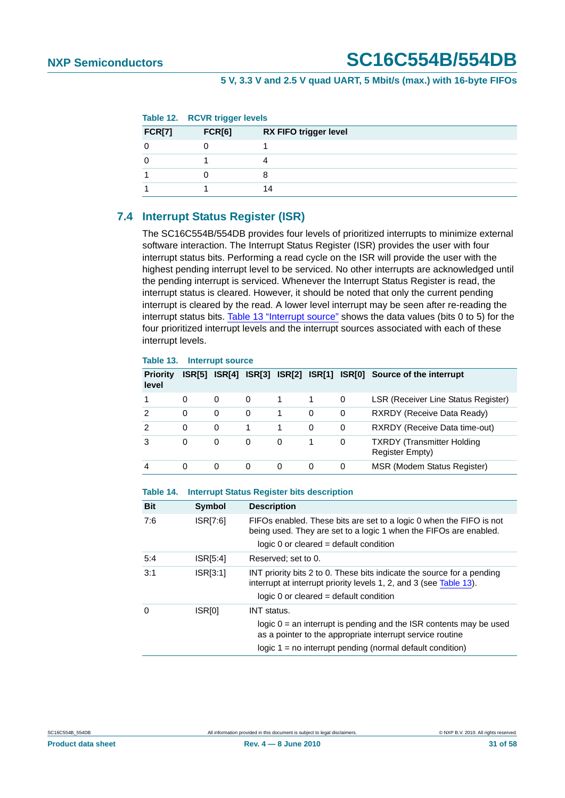<span id="page-30-0"></span>

|               | Table 12. RCVR trigger levels |                              |  |
|---------------|-------------------------------|------------------------------|--|
| <b>FCR[7]</b> | FCR[6]                        | <b>RX FIFO trigger level</b> |  |
|               |                               |                              |  |
|               |                               |                              |  |
|               |                               | 8                            |  |
|               |                               | 14                           |  |

### <span id="page-30-2"></span>**7.4 Interrupt Status Register (ISR)**

The SC16C554B/554DB provides four levels of prioritized interrupts to minimize external software interaction. The Interrupt Status Register (ISR) provides the user with four interrupt status bits. Performing a read cycle on the ISR will provide the user with the highest pending interrupt level to be serviced. No other interrupts are acknowledged until the pending interrupt is serviced. Whenever the Interrupt Status Register is read, the interrupt status is cleared. However, it should be noted that only the current pending interrupt is cleared by the read. A lower level interrupt may be seen after re-reading the interrupt status bits. [Table 13 "Interrupt source"](#page-30-1) shows the data values (bits 0 to 5) for the four prioritized interrupt levels and the interrupt sources associated with each of these interrupt levels.

#### <span id="page-30-1"></span>**Table 13. Interrupt source**

| <b>Priority</b><br>level | ISR[5]   |   | <b>ISR[4] ISR[3]</b> |   | <b>ISR[2] ISR[1]</b> |   | ISR[0] Source of the interrupt                              |
|--------------------------|----------|---|----------------------|---|----------------------|---|-------------------------------------------------------------|
|                          | $\Omega$ | 0 | $\Omega$             |   |                      | 0 | <b>LSR (Receiver Line Status Register)</b>                  |
| 2                        | 0        | 0 | 0                    |   | 0                    | 0 | RXRDY (Receive Data Ready)                                  |
| 2                        | 0        | 0 |                      |   | 0                    | 0 | RXRDY (Receive Data time-out)                               |
| 3                        | 0        | 0 | 0                    | 0 |                      | 0 | <b>TXRDY</b> (Transmitter Holding<br><b>Register Empty)</b> |
| 4                        | 0        | 0 | 0                    | 0 | 0                    | 0 | MSR (Modem Status Register)                                 |

#### **Table 14. Interrupt Status Register bits description**

| <b>Bit</b> | <b>Symbol</b>      | <b>Description</b>                                                                                                                                                                                                     |
|------------|--------------------|------------------------------------------------------------------------------------------------------------------------------------------------------------------------------------------------------------------------|
| 7:6        | ISR[7:6]           | FIFOs enabled. These bits are set to a logic 0 when the FIFO is not<br>being used. They are set to a logic 1 when the FIFOs are enabled.<br>$logic 0$ or cleared = default condition                                   |
| 5:4        | ISR[5:4]           | Reserved; set to 0.                                                                                                                                                                                                    |
| 3:1        | ISR[3:1]           | INT priority bits 2 to 0. These bits indicate the source for a pending<br>interrupt at interrupt priority levels 1, 2, and 3 (see Table 13).<br>$logic 0$ or cleared = default condition                               |
| $\Omega$   | ISR <sub>[0]</sub> | <b>INT</b> status.<br>logic $0 =$ an interrupt is pending and the ISR contents may be used<br>as a pointer to the appropriate interrupt service routine<br>$logic 1 = no$ interrupt pending (normal default condition) |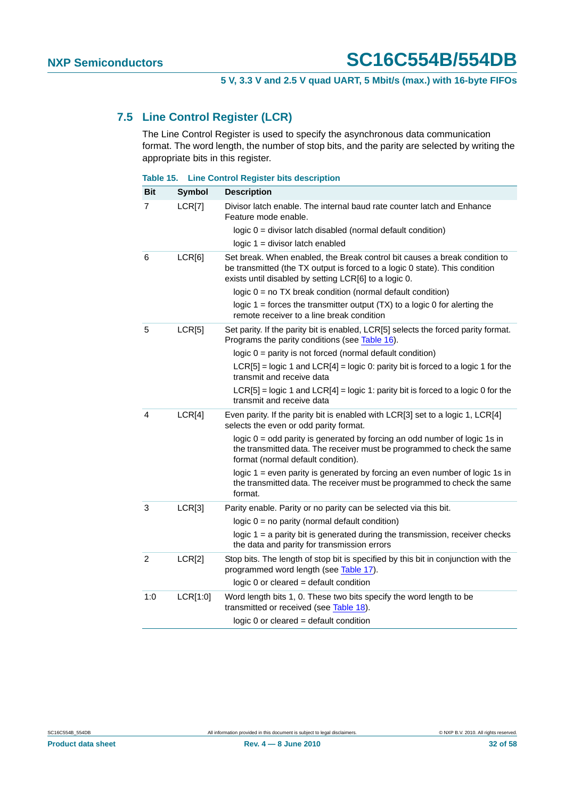### <span id="page-31-0"></span>**7.5 Line Control Register (LCR)**

The Line Control Register is used to specify the asynchronous data communication format. The word length, the number of stop bits, and the parity are selected by writing the appropriate bits in this register.

|  | Table 15. Line Control Register bits description |  |  |  |
|--|--------------------------------------------------|--|--|--|
|--|--------------------------------------------------|--|--|--|

| <b>Bit</b> | <b>Symbol</b> | <b>Description</b>                                                                                                                                                                                                 |
|------------|---------------|--------------------------------------------------------------------------------------------------------------------------------------------------------------------------------------------------------------------|
| 7          | LCR[7]        | Divisor latch enable. The internal baud rate counter latch and Enhance<br>Feature mode enable.                                                                                                                     |
|            |               | $logic 0 = divisor$ latch disabled (normal default condition)                                                                                                                                                      |
|            |               | $logic 1 = divisor$ latch enabled                                                                                                                                                                                  |
| 6          | LCR[6]        | Set break. When enabled, the Break control bit causes a break condition to<br>be transmitted (the TX output is forced to a logic 0 state). This condition<br>exists until disabled by setting LCR[6] to a logic 0. |
|            |               | logic $0 = no TX$ break condition (normal default condition)                                                                                                                                                       |
|            |               | logic $1 =$ forces the transmitter output $(TX)$ to a logic 0 for alerting the<br>remote receiver to a line break condition                                                                                        |
| 5          | LCR[5]        | Set parity. If the parity bit is enabled, LCR[5] selects the forced parity format.<br>Programs the parity conditions (see Table 16).                                                                               |
|            |               | logic $0 =$ parity is not forced (normal default condition)                                                                                                                                                        |
|            |               | $LCR[5]$ = logic 1 and $LCR[4]$ = logic 0: parity bit is forced to a logic 1 for the<br>transmit and receive data                                                                                                  |
|            |               | $LCR[5]$ = logic 1 and $LCR[4]$ = logic 1: parity bit is forced to a logic 0 for the<br>transmit and receive data                                                                                                  |
| 4          | LCR[4]        | Even parity. If the parity bit is enabled with LCR[3] set to a logic 1, LCR[4]<br>selects the even or odd parity format.                                                                                           |
|            |               | logic $0 =$ odd parity is generated by forcing an odd number of logic 1s in<br>the transmitted data. The receiver must be programmed to check the same<br>format (normal default condition).                       |
|            |               | logic 1 = even parity is generated by forcing an even number of logic 1s in<br>the transmitted data. The receiver must be programmed to check the same<br>format.                                                  |
| 3          | LCR[3]        | Parity enable. Parity or no parity can be selected via this bit.                                                                                                                                                   |
|            |               | logic $0 = no$ parity (normal default condition)                                                                                                                                                                   |
|            |               | logic $1 = a$ parity bit is generated during the transmission, receiver checks<br>the data and parity for transmission errors                                                                                      |
| 2          | LCR[2]        | Stop bits. The length of stop bit is specified by this bit in conjunction with the<br>programmed word length (see Table 17).                                                                                       |
|            |               | $logic 0$ or cleared = default condition                                                                                                                                                                           |
| 1:0        | LCR[1:0]      | Word length bits 1, 0. These two bits specify the word length to be<br>transmitted or received (see Table 18).                                                                                                     |
|            |               | logic 0 or cleared = default condition                                                                                                                                                                             |

| SC16C554B 554DB |  |
|-----------------|--|
|                 |  |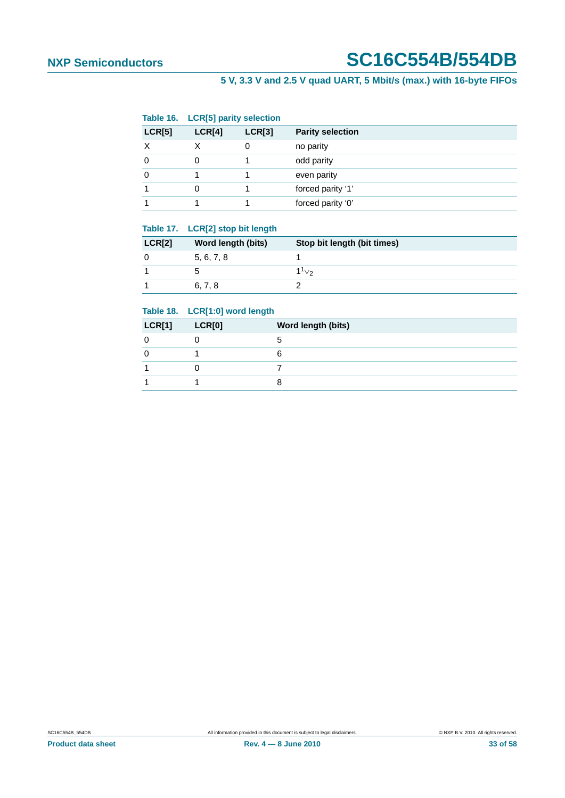### **5 V, 3.3 V and 2.5 V quad UART, 5 Mbit/s (max.) with 16-byte FIFOs**

<span id="page-32-0"></span>

|          | Table 16. LCR[5] parity selection |        |                         |
|----------|-----------------------------------|--------|-------------------------|
| LCR[5]   | LCR[4]                            | LCR[3] | <b>Parity selection</b> |
|          |                                   | 0      | no parity               |
| $\Omega$ | 0                                 |        | odd parity              |
| $\Omega$ |                                   |        | even parity             |
|          | 0                                 |        | forced parity '1'       |
|          |                                   |        | forced parity '0'       |

#### <span id="page-32-1"></span>**Table 17. LCR[2] stop bit length**

| <b>LCR[2]</b> | Word length (bits) | Stop bit length (bit times) |
|---------------|--------------------|-----------------------------|
|               | 5, 6, 7, 8         |                             |
|               |                    | $1^1$ <sub>V2</sub>         |
|               | 6, 7, 8            |                             |

#### <span id="page-32-2"></span>**Table 18. LCR[1:0] word length**

| <b>LCR[1]</b> | LCR[0] | Word length (bits) |
|---------------|--------|--------------------|
|               |        |                    |
|               |        |                    |
|               |        |                    |
|               |        |                    |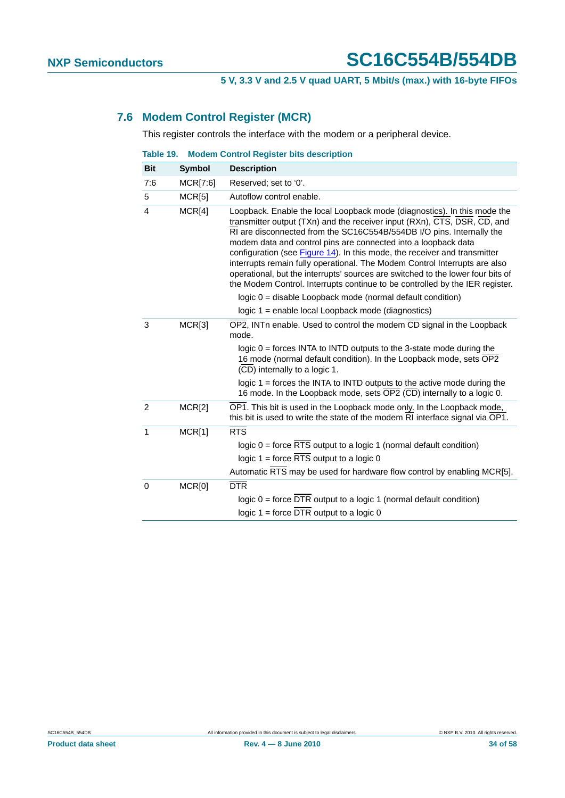### <span id="page-33-0"></span>**7.6 Modem Control Register (MCR)**

This register controls the interface with the modem or a peripheral device.

| Table 19. |  |  | <b>Modem Control Register bits description</b> |
|-----------|--|--|------------------------------------------------|

| <b>Bit</b>     | <b>Symbol</b> | <b>Description</b>                                                                                                                                                                                                                                                                                                                                                                                                                                                                                                                                                                                                            |
|----------------|---------------|-------------------------------------------------------------------------------------------------------------------------------------------------------------------------------------------------------------------------------------------------------------------------------------------------------------------------------------------------------------------------------------------------------------------------------------------------------------------------------------------------------------------------------------------------------------------------------------------------------------------------------|
| 7:6            | MCR[7:6]      | Reserved; set to '0'.                                                                                                                                                                                                                                                                                                                                                                                                                                                                                                                                                                                                         |
| 5              | MCR[5]        | Autoflow control enable.                                                                                                                                                                                                                                                                                                                                                                                                                                                                                                                                                                                                      |
| 4              | MCR[4]        | Loopback. Enable the local Loopback mode (diagnostics). In this mode the<br>transmitter output (TXn) and the receiver input (RXn), CTS, DSR, CD, and<br>RI are disconnected from the SC16C554B/554DB I/O pins. Internally the<br>modem data and control pins are connected into a loopback data<br>configuration (see Figure 14). In this mode, the receiver and transmitter<br>interrupts remain fully operational. The Modem Control Interrupts are also<br>operational, but the interrupts' sources are switched to the lower four bits of<br>the Modem Control. Interrupts continue to be controlled by the IER register. |
|                |               | logic 0 = disable Loopback mode (normal default condition)                                                                                                                                                                                                                                                                                                                                                                                                                                                                                                                                                                    |
|                |               | logic 1 = enable local Loopback mode (diagnostics)                                                                                                                                                                                                                                                                                                                                                                                                                                                                                                                                                                            |
| 3              | MCR[3]        | OP2, INTn enable. Used to control the modem CD signal in the Loopback<br>mode.                                                                                                                                                                                                                                                                                                                                                                                                                                                                                                                                                |
|                |               | logic $0 =$ forces INTA to INTD outputs to the 3-state mode during the<br>16 mode (normal default condition). In the Loopback mode, sets OP2<br>(CD) internally to a logic 1.                                                                                                                                                                                                                                                                                                                                                                                                                                                 |
|                |               | logic $1 =$ forces the INTA to INTD outputs to the active mode during the<br>16 mode. In the Loopback mode, sets OP2 (CD) internally to a logic 0.                                                                                                                                                                                                                                                                                                                                                                                                                                                                            |
| $\overline{2}$ | MCR[2]        | OP1. This bit is used in the Loopback mode only. In the Loopback mode,<br>this bit is used to write the state of the modem RI interface signal via OP1.                                                                                                                                                                                                                                                                                                                                                                                                                                                                       |
| $\mathbf{1}$   | MCR[1]        | RTS<br>logic 0 = force RTS output to a logic 1 (normal default condition)<br>logic $1 =$ force RTS output to a logic 0<br>Automatic RTS may be used for hardware flow control by enabling MCR[5].                                                                                                                                                                                                                                                                                                                                                                                                                             |
| 0              | MCR[0]        | <b>DTR</b><br>logic $0 =$ force DTR output to a logic 1 (normal default condition)<br>logic $1 =$ force $\overline{DTR}$ output to a logic 0                                                                                                                                                                                                                                                                                                                                                                                                                                                                                  |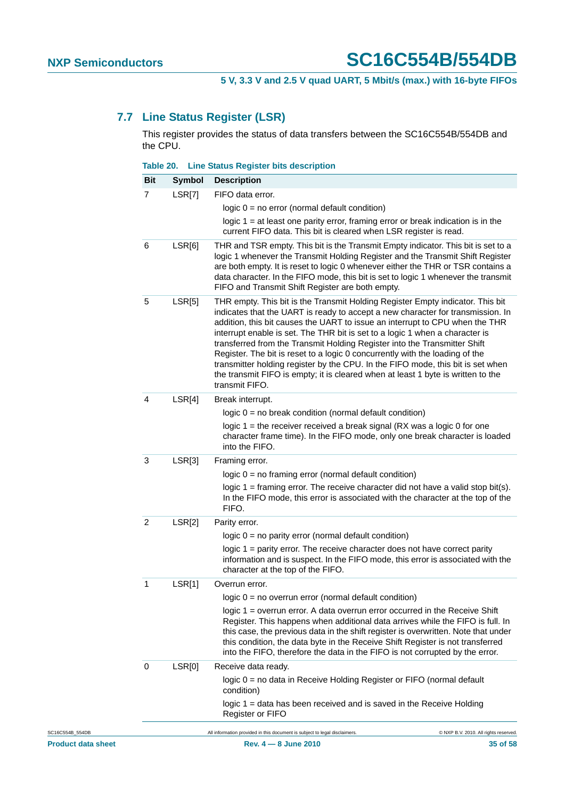### **7.7 Line Status Register (LSR)**

This register provides the status of data transfers between the SC16C554B/554DB and the CPU.

<span id="page-34-0"></span>

|                | Table 20.     | <b>Line Status Register bits description</b>                                                                                                                                                                                                                                                                                                                                                                                                                                                                                                                                                                                                                                            |
|----------------|---------------|-----------------------------------------------------------------------------------------------------------------------------------------------------------------------------------------------------------------------------------------------------------------------------------------------------------------------------------------------------------------------------------------------------------------------------------------------------------------------------------------------------------------------------------------------------------------------------------------------------------------------------------------------------------------------------------------|
| <b>Bit</b>     | <b>Symbol</b> | <b>Description</b>                                                                                                                                                                                                                                                                                                                                                                                                                                                                                                                                                                                                                                                                      |
| $\overline{7}$ | LSR[7]        | FIFO data error.                                                                                                                                                                                                                                                                                                                                                                                                                                                                                                                                                                                                                                                                        |
|                |               | $logic 0 = no error (normal default condition)$                                                                                                                                                                                                                                                                                                                                                                                                                                                                                                                                                                                                                                         |
|                |               | logic $1 = at$ least one parity error, framing error or break indication is in the<br>current FIFO data. This bit is cleared when LSR register is read.                                                                                                                                                                                                                                                                                                                                                                                                                                                                                                                                 |
| $\,6$          | LSR[6]        | THR and TSR empty. This bit is the Transmit Empty indicator. This bit is set to a<br>logic 1 whenever the Transmit Holding Register and the Transmit Shift Register<br>are both empty. It is reset to logic 0 whenever either the THR or TSR contains a<br>data character. In the FIFO mode, this bit is set to logic 1 whenever the transmit<br>FIFO and Transmit Shift Register are both empty.                                                                                                                                                                                                                                                                                       |
| $\sqrt{5}$     | LSR[5]        | THR empty. This bit is the Transmit Holding Register Empty indicator. This bit<br>indicates that the UART is ready to accept a new character for transmission. In<br>addition, this bit causes the UART to issue an interrupt to CPU when the THR<br>interrupt enable is set. The THR bit is set to a logic 1 when a character is<br>transferred from the Transmit Holding Register into the Transmitter Shift<br>Register. The bit is reset to a logic 0 concurrently with the loading of the<br>transmitter holding register by the CPU. In the FIFO mode, this bit is set when<br>the transmit FIFO is empty; it is cleared when at least 1 byte is written to the<br>transmit FIFO. |
| 4              | LSR[4]        | Break interrupt.                                                                                                                                                                                                                                                                                                                                                                                                                                                                                                                                                                                                                                                                        |
|                |               | $logic 0 = no break condition (normal default condition)$                                                                                                                                                                                                                                                                                                                                                                                                                                                                                                                                                                                                                               |
|                |               | logic $1$ = the receiver received a break signal (RX was a logic 0 for one<br>character frame time). In the FIFO mode, only one break character is loaded<br>into the FIFO.                                                                                                                                                                                                                                                                                                                                                                                                                                                                                                             |
| $\sqrt{3}$     | LSR[3]        | Framing error.                                                                                                                                                                                                                                                                                                                                                                                                                                                                                                                                                                                                                                                                          |
|                |               | logic $0 = no$ framing error (normal default condition)                                                                                                                                                                                                                                                                                                                                                                                                                                                                                                                                                                                                                                 |
|                |               | logic $1 =$ framing error. The receive character did not have a valid stop bit(s).<br>In the FIFO mode, this error is associated with the character at the top of the<br>FIFO.                                                                                                                                                                                                                                                                                                                                                                                                                                                                                                          |
| $\overline{c}$ | LSR[2]        | Parity error.                                                                                                                                                                                                                                                                                                                                                                                                                                                                                                                                                                                                                                                                           |
|                |               | logic $0 = no$ parity error (normal default condition)                                                                                                                                                                                                                                                                                                                                                                                                                                                                                                                                                                                                                                  |
|                |               | logic 1 = parity error. The receive character does not have correct parity<br>information and is suspect. In the FIFO mode, this error is associated with the<br>character at the top of the FIFO.                                                                                                                                                                                                                                                                                                                                                                                                                                                                                      |
|                | LSR[1]        | Overrun error.                                                                                                                                                                                                                                                                                                                                                                                                                                                                                                                                                                                                                                                                          |
|                |               | $logic 0 = no overrun error (normal default condition)$                                                                                                                                                                                                                                                                                                                                                                                                                                                                                                                                                                                                                                 |
|                |               | logic 1 = overrun error. A data overrun error occurred in the Receive Shift<br>Register. This happens when additional data arrives while the FIFO is full. In<br>this case, the previous data in the shift register is overwritten. Note that under<br>this condition, the data byte in the Receive Shift Register is not transferred<br>into the FIFO, therefore the data in the FIFO is not corrupted by the error.                                                                                                                                                                                                                                                                   |
| 0              | LSR[0]        | Receive data ready.                                                                                                                                                                                                                                                                                                                                                                                                                                                                                                                                                                                                                                                                     |
|                |               | logic 0 = no data in Receive Holding Register or FIFO (normal default<br>condition)                                                                                                                                                                                                                                                                                                                                                                                                                                                                                                                                                                                                     |
|                |               | logic 1 = data has been received and is saved in the Receive Holding<br><b>Register or FIFO</b>                                                                                                                                                                                                                                                                                                                                                                                                                                                                                                                                                                                         |
|                |               | All information provided in this document is subject to legal disclaimers.<br>C NXP B.V. 2010. All rights reserved                                                                                                                                                                                                                                                                                                                                                                                                                                                                                                                                                                      |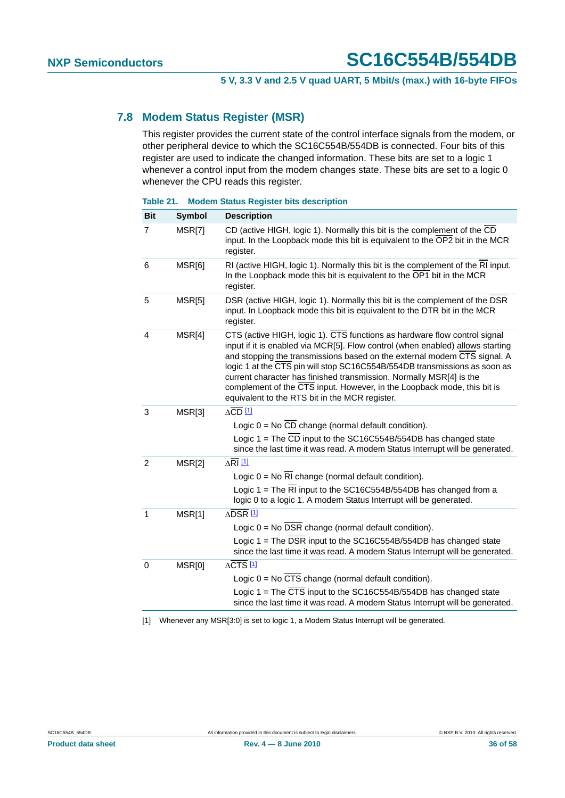### <span id="page-35-1"></span>**7.8 Modem Status Register (MSR)**

This register provides the current state of the control interface signals from the modem, or other peripheral device to which the SC16C554B/554DB is connected. Four bits of this register are used to indicate the changed information. These bits are set to a logic 1 whenever a control input from the modem changes state. These bits are set to a logic 0 whenever the CPU reads this register.

#### **Table 21. Modem Status Register bits description**

| <b>Bit</b>     | <b>Symbol</b> | <b>Description</b>                                                                                                                                                                                                                                                                                                                                                                                                                                                                                                       |
|----------------|---------------|--------------------------------------------------------------------------------------------------------------------------------------------------------------------------------------------------------------------------------------------------------------------------------------------------------------------------------------------------------------------------------------------------------------------------------------------------------------------------------------------------------------------------|
| $\overline{7}$ | MSR[7]        | CD (active HIGH, logic 1). Normally this bit is the complement of the CD<br>input. In the Loopback mode this bit is equivalent to the OP2 bit in the MCR<br>register.                                                                                                                                                                                                                                                                                                                                                    |
| 6              | MSR[6]        | RI (active HIGH, logic 1). Normally this bit is the complement of the RI input.<br>In the Loopback mode this bit is equivalent to the OP1 bit in the MCR<br>register.                                                                                                                                                                                                                                                                                                                                                    |
| 5              | MSR[5]        | DSR (active HIGH, logic 1). Normally this bit is the complement of the DSR<br>input. In Loopback mode this bit is equivalent to the DTR bit in the MCR<br>register.                                                                                                                                                                                                                                                                                                                                                      |
| $\overline{4}$ | MSR[4]        | CTS (active HIGH, logic 1). CTS functions as hardware flow control signal<br>input if it is enabled via MCR[5]. Flow control (when enabled) allows starting<br>and stopping the transmissions based on the external modem CTS signal. A<br>logic 1 at the CTS pin will stop SC16C554B/554DB transmissions as soon as<br>current character has finished transmission. Normally MSR[4] is the<br>complement of the CTS input. However, in the Loopback mode, this bit is<br>equivalent to the RTS bit in the MCR register. |
| 3              | MSR[3]        | $\Delta$ CD [1]                                                                                                                                                                                                                                                                                                                                                                                                                                                                                                          |
|                |               | Logic $0 = No CD$ change (normal default condition).                                                                                                                                                                                                                                                                                                                                                                                                                                                                     |
|                |               | Logic 1 = The CD input to the SC16C554B/554DB has changed state<br>since the last time it was read. A modem Status Interrupt will be generated.                                                                                                                                                                                                                                                                                                                                                                          |
| 2              | MSR[2]        | $\Delta$ RI $\frac{11}{2}$                                                                                                                                                                                                                                                                                                                                                                                                                                                                                               |
|                |               | Logic $0 = No \, R1$ change (normal default condition).                                                                                                                                                                                                                                                                                                                                                                                                                                                                  |
|                |               | Logic 1 = The RI input to the SC16C554B/554DB has changed from a<br>logic 0 to a logic 1. A modem Status Interrupt will be generated.                                                                                                                                                                                                                                                                                                                                                                                    |
| 1              | MSR[1]        | ∆DSR <sup>[1]</sup>                                                                                                                                                                                                                                                                                                                                                                                                                                                                                                      |
|                |               | Logic $0 = No DSR change (normal default condition).$                                                                                                                                                                                                                                                                                                                                                                                                                                                                    |
|                |               | Logic 1 = The DSR input to the SC16C554B/554DB has changed state<br>since the last time it was read. A modem Status Interrupt will be generated.                                                                                                                                                                                                                                                                                                                                                                         |
| 0              | MSR[0]        | $\triangle$ CTS $\frac{11}{2}$                                                                                                                                                                                                                                                                                                                                                                                                                                                                                           |
|                |               | Logic $0 = No CTS$ change (normal default condition).                                                                                                                                                                                                                                                                                                                                                                                                                                                                    |
|                |               | Logic $1 =$ The $\overline{CTS}$ input to the SC16C554B/554DB has changed state<br>since the last time it was read. A modem Status Interrupt will be generated.                                                                                                                                                                                                                                                                                                                                                          |

<span id="page-35-0"></span>[1] Whenever any MSR[3:0] is set to logic 1, a Modem Status Interrupt will be generated.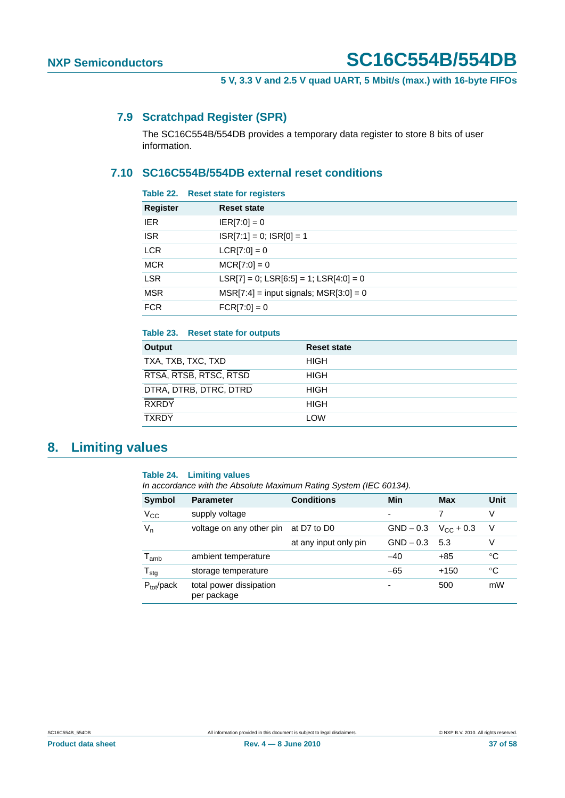### <span id="page-36-2"></span>**7.9 Scratchpad Register (SPR)**

The SC16C554B/554DB provides a temporary data register to store 8 bits of user information.

### <span id="page-36-1"></span>**7.10 SC16C554B/554DB external reset conditions**

| Table 22.       | <b>Reset state for registers</b>               |
|-----------------|------------------------------------------------|
| <b>Register</b> | <b>Reset state</b>                             |
| <b>IER</b>      | $ ER[7:0] = 0$                                 |
| <b>ISR</b>      | $ISR[7:1] = 0$ ; $ISR[0] = 1$                  |
| <b>LCR</b>      | $LCR[7:0] = 0$                                 |
| <b>MCR</b>      | $MCR[7:0] = 0$                                 |
| <b>LSR</b>      | $LSR[7] = 0$ ; $LSR[6:5] = 1$ ; $LSR[4:0] = 0$ |
| <b>MSR</b>      | $MSR[7:4] = input signals; MSR[3:0] = 0$       |
| <b>FCR</b>      | $FCR[7:0] = 0$                                 |
|                 |                                                |

| Table 23. Reset state for outputs |                    |
|-----------------------------------|--------------------|
| Output                            | <b>Reset state</b> |
| TXA, TXB, TXC, TXD                | <b>HIGH</b>        |
| RTSA, RTSB, RTSC, RTSD            | <b>HIGH</b>        |
| DTRA, DTRB, DTRC, DTRD            | <b>HIGH</b>        |
| <b>RXRDY</b>                      | <b>HIGH</b>        |
| <b>TXRDY</b>                      | <b>LOW</b>         |
|                                   |                    |

## <span id="page-36-3"></span>**8. Limiting values**

#### <span id="page-36-0"></span>**Table 24. Limiting values**

*In accordance with the Absolute Maximum Rating System (IEC 60134).*

| Symbol                      | <b>Parameter</b>                       | <b>Conditions</b>     | Min         | <b>Max</b>            | Unit        |
|-----------------------------|----------------------------------------|-----------------------|-------------|-----------------------|-------------|
| $V_{\rm CC}$                | supply voltage                         |                       |             |                       | V           |
| $V_n$                       | voltage on any other pin               | at D7 to D0           | $GND - 0.3$ | $V_{\text{C}C}$ + 0.3 | V           |
|                             |                                        | at any input only pin | $GND - 0.3$ | 5.3                   | ٧           |
| $\mathsf{T}_{\mathsf{amb}}$ | ambient temperature                    |                       | $-40$       | $+85$                 | $^{\circ}C$ |
| $T_{\text{stg}}$            | storage temperature                    |                       | $-65$       | $+150$                | $^{\circ}C$ |
| $P_{tot}/pack$              | total power dissipation<br>per package |                       | -           | 500                   | mW          |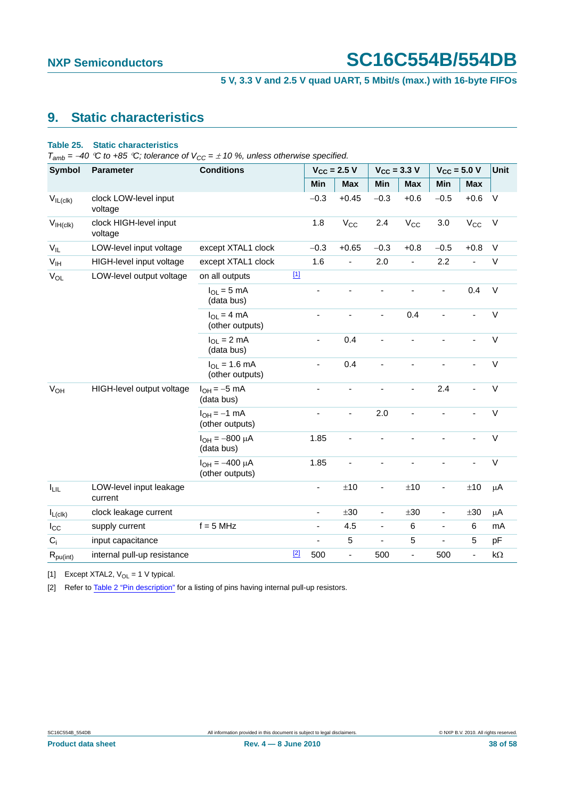## **5 V, 3.3 V and 2.5 V quad UART, 5 Mbit/s (max.) with 16-byte FIFOs**

## <span id="page-37-3"></span>**9. Static characteristics**

#### <span id="page-37-2"></span>**Table 25. Static characteristics**

 $T_{amb}$  = −40 °C to +85 °C; tolerance of  $V_{CC}$  =  $\pm$  10 %, unless otherwise specified.

| <b>Symbol</b>          | <b>Parameter</b>                   | <b>Conditions</b>                        |             | $V_{CC}$ = 2.5 V |                | $V_{CC} = 3.3 V$         |                | $V_{CC} = 5.0 V$         |                          | <b>Unit</b> |
|------------------------|------------------------------------|------------------------------------------|-------------|------------------|----------------|--------------------------|----------------|--------------------------|--------------------------|-------------|
|                        |                                    |                                          |             | Min              | <b>Max</b>     | Min                      | <b>Max</b>     | Min                      | <b>Max</b>               |             |
| $V_{IL(clk)}$          | clock LOW-level input<br>voltage   |                                          |             | $-0.3$           | $+0.45$        | $-0.3$                   | $+0.6$         | $-0.5$                   | $+0.6$                   | $\vee$      |
| $V_{IH (clk)}$         | clock HIGH-level input<br>voltage  |                                          |             | 1.8              | $V_{CC}$       | 2.4                      | $V_{CC}$       | 3.0                      | $V_{\rm CC}$             | $\vee$      |
| $V_{IL}$               | LOW-level input voltage            | except XTAL1 clock                       |             | $-0.3$           | $+0.65$        | $-0.3$                   | $+0.8$         | $-0.5$                   | $+0.8$                   | $\vee$      |
| V <sub>IH</sub>        | HIGH-level input voltage           | except XTAL1 clock                       |             | 1.6              | $\blacksquare$ | 2.0                      | $\blacksquare$ | 2.2                      | ÷,                       | V           |
| $V_{OL}$               | LOW-level output voltage           | on all outputs                           | $\boxed{1}$ |                  |                |                          |                |                          |                          |             |
|                        |                                    | $I_{OL} = 5$ mA<br>(data bus)            |             |                  |                |                          |                |                          | 0.4                      | $\sf V$     |
|                        |                                    | $I_{OL} = 4 mA$<br>(other outputs)       |             | ä,               |                | $\sim$                   | 0.4            | $\blacksquare$           | ä,                       | $\vee$      |
|                        |                                    | $I_{\Omega I}$ = 2 mA<br>(data bus)      |             | ٠                | 0.4            |                          |                |                          |                          | $\vee$      |
|                        |                                    | $I_{OL} = 1.6$ mA<br>(other outputs)     |             | ÷,               | 0.4            |                          |                |                          |                          | $\vee$      |
| V <sub>OH</sub>        | HIGH-level output voltage          | $I_{OH} = -5$ mA<br>(data bus)           |             | ٠                | ÷,             | $\blacksquare$           | ÷,             | 2.4                      | ÷,                       | $\vee$      |
|                        |                                    | $I_{OH} = -1$ mA<br>(other outputs)      |             |                  | ٠              | 2.0                      |                |                          |                          | $\vee$      |
|                        |                                    | $I_{OH} = -800 \mu A$<br>(data bus)      |             | 1.85             | ÷,             |                          |                |                          |                          | $\vee$      |
|                        |                                    | $I_{OH} = -400 \mu A$<br>(other outputs) |             | 1.85             | ÷,             |                          |                |                          |                          | V           |
| $I_{LIL}$              | LOW-level input leakage<br>current |                                          |             | ÷,               | ±10            | $\blacksquare$           | ±10            | ÷,                       | ±10                      | $\mu$ A     |
| $I_{L(clk)}$           | clock leakage current              |                                          |             | ÷,               | ±30            | $\blacksquare$           | ±30            | $\blacksquare$           | ±30                      | $\mu$ A     |
| $I_{\rm CC}$           | supply current                     | $f = 5$ MHz                              |             | -                | 4.5            | $\overline{\phantom{a}}$ | $\,6\,$        | $\overline{\phantom{a}}$ | 6                        | mA          |
| $C_i$                  | input capacitance                  |                                          |             |                  | $\mathbf 5$    | $\blacksquare$           | $\mathbf 5$    | $\overline{\phantom{a}}$ | 5                        | pF          |
| $R_{\textrm{pu(int)}}$ | internal pull-up resistance        |                                          | $[2]$       | 500              | ÷,             | 500                      | ÷,             | 500                      | $\overline{\phantom{0}}$ | $k\Omega$   |

<span id="page-37-0"></span>[1] Except XTAL2,  $V_{OL} = 1$  V typical.

<span id="page-37-1"></span>[2] Refer to [Table 2 "Pin description"](#page-9-0) for a listing of pins having internal pull-up resistors.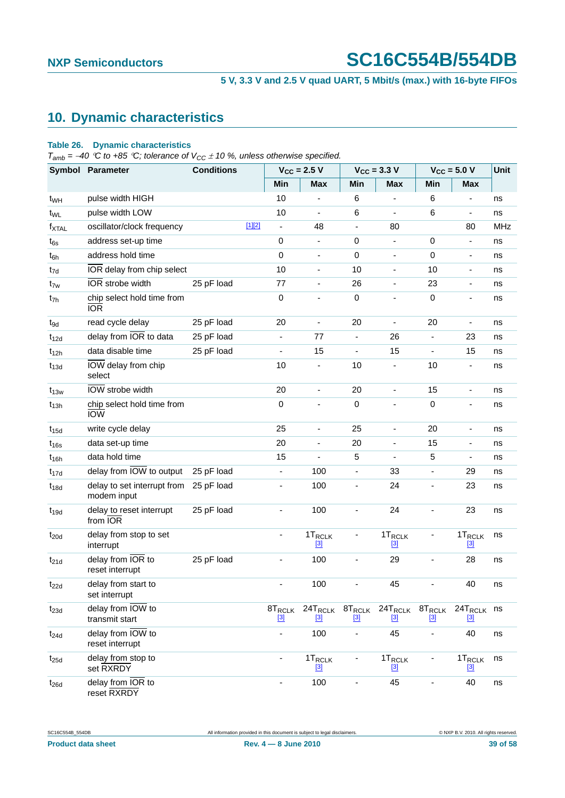### **5 V, 3.3 V and 2.5 V quad UART, 5 Mbit/s (max.) with 16-byte FIFOs**

## <span id="page-38-1"></span>**10. Dynamic characteristics**

#### <span id="page-38-0"></span>**Table 26. Dynamic characteristics**

 $T_{amb}$  = −40 °C to +85 °C; tolerance of V<sub>CC</sub>  $\pm$  10 %, unless otherwise specified.

|                   | Symbol Parameter                                  | <b>Conditions</b> | $V_{\text{CC}}$ = 2.5 V      |                                | $V_{\text{CC}} = 3.3$ V  |                              | $V_{\text{CC}} = 5.0 V$  |                                      | <b>Unit</b> |
|-------------------|---------------------------------------------------|-------------------|------------------------------|--------------------------------|--------------------------|------------------------------|--------------------------|--------------------------------------|-------------|
|                   |                                                   |                   | Min                          | <b>Max</b>                     | Min                      | <b>Max</b>                   | Min                      | <b>Max</b>                           |             |
| t <sub>WH</sub>   | pulse width HIGH                                  |                   | 10                           |                                | 6                        |                              | 6                        | ٠                                    | ns          |
| t <sub>WL</sub>   | pulse width LOW                                   |                   | 10                           | $\blacksquare$                 | $\,6$                    | $\blacksquare$               | 6                        | $\overline{\phantom{a}}$             | ns          |
| $f_{\text{XTAL}}$ | oscillator/clock frequency                        | $[1][2]$          | $\blacksquare$               | 48                             | $\overline{\phantom{a}}$ | 80                           |                          | 80                                   | <b>MHz</b>  |
| $t_{6s}$          | address set-up time                               |                   | 0                            | $\overline{\phantom{a}}$       | 0                        | $\overline{\phantom{a}}$     | 0                        | $\overline{\phantom{a}}$             | ns          |
| $t_{6h}$          | address hold time                                 |                   | $\pmb{0}$                    | $\overline{\phantom{a}}$       | $\pmb{0}$                | $\overline{\phantom{a}}$     | 0                        | $\qquad \qquad \blacksquare$         | ns          |
| t <sub>7d</sub>   | IOR delay from chip select                        |                   | 10                           | $\overline{\phantom{a}}$       | 10                       | $\overline{\phantom{a}}$     | 10                       | $\overline{\phantom{a}}$             | ns          |
| $t_{\rm 7w}$      | IOR strobe width                                  | 25 pF load        | 77                           | $\qquad \qquad \blacksquare$   | 26                       | $\qquad \qquad \blacksquare$ | 23                       | $\qquad \qquad \blacksquare$         | ns          |
| t <sub>7h</sub>   | chip select hold time from<br><b>IOR</b>          |                   | $\pmb{0}$                    | $\qquad \qquad \blacksquare$   | $\pmb{0}$                | $\qquad \qquad \blacksquare$ | 0                        | $\qquad \qquad \blacksquare$         | ns          |
| $t_{9d}$          | read cycle delay                                  | 25 pF load        | 20                           | $\overline{\phantom{a}}$       | 20                       | $\overline{\phantom{a}}$     | 20                       | $\blacksquare$                       | ns          |
| $t_{12d}$         | delay from IOR to data                            | 25 pF load        | $\blacksquare$               | 77                             | $\blacksquare$           | 26                           | $\overline{\phantom{a}}$ | 23                                   | ns          |
| $t_{12h}$         | data disable time                                 | 25 pF load        | $\overline{\phantom{a}}$     | 15                             | ÷,                       | 15                           | $\blacksquare$           | 15                                   | ns          |
| $t_{13d}$         | IOW delay from chip<br>select                     |                   | 10                           | $\blacksquare$                 | 10                       | $\qquad \qquad \blacksquare$ | 10                       | $\blacksquare$                       | ns          |
| $t_{13w}$         | IOW strobe width                                  |                   | 20                           | $\blacksquare$                 | 20                       | $\overline{\phantom{a}}$     | 15                       | $\overline{\phantom{a}}$             | ns          |
| $t_{13h}$         | chip select hold time from<br><b>IOW</b>          |                   | $\pmb{0}$                    |                                | $\pmb{0}$                |                              | 0                        | ٠                                    | ns          |
| $t_{15d}$         | write cycle delay                                 |                   | 25                           | $\blacksquare$                 | 25                       | $\overline{\phantom{a}}$     | 20                       | $\blacksquare$                       | ns          |
| $t_{16s}$         | data set-up time                                  |                   | 20                           | ä,                             | 20                       | $\overline{\phantom{0}}$     | 15                       | $\overline{\phantom{a}}$             | ns          |
| $t_{16h}$         | data hold time                                    |                   | 15                           | $\blacksquare$                 | 5                        | $\overline{\phantom{a}}$     | 5                        | $\overline{\phantom{a}}$             | ns          |
| $t_{17d}$         | delay from IOW to output                          | 25 pF load        | $\qquad \qquad \blacksquare$ | 100                            | $\overline{\phantom{a}}$ | 33                           | $\blacksquare$           | 29                                   | ns          |
| $t_{18d}$         | delay to set interrupt from<br>modem input        | 25 pF load        | $\overline{\phantom{0}}$     | 100                            | $\overline{\phantom{a}}$ | 24                           | $\overline{\phantom{a}}$ | 23                                   | ns          |
| $t_{19d}$         | delay to reset interrupt<br>from IOR              | 25 pF load        | ÷                            | 100                            | ä,                       | 24                           | ÷,                       | 23                                   | ns          |
| $t_{20d}$         | delay from stop to set<br>interrupt               |                   | ÷                            | $1T_{RCLK}$<br>$[3]$           |                          | $1T_{RCLK}$<br>[3]           |                          | 1T <sub>RCLK</sub><br>$[3]$          | ns          |
| $t_{21d}$         | delay from $\overline{IOR}$ to<br>reset interrupt | 25 pF load        | ÷                            | 100                            | $\overline{\phantom{a}}$ | 29                           | $\overline{\phantom{a}}$ | 28                                   | ns          |
| $t_{22d}$         | delay from start to<br>set interrupt              |                   | ä,                           | 100                            | ä,                       | 45                           |                          | 40                                   | ns          |
| $t_{23d}$         | delay from IOW to<br>transmit start               |                   | 8T <sub>RCLK</sub><br>$[3]$  | $24T_{RCLK}$<br>$^{[3]}$       | $8T_{RCLK}$<br>$^{[3]}$  | $24T_{RCLK}$<br>$^{[3]}$     | $8T_{RCLK}$<br>$[3]$     | 24T <sub>RCLK</sub> ns<br><u>[3]</u> |             |
| $t_{24d}$         | delay from IOW to<br>reset interrupt              |                   | $\overline{\phantom{a}}$     | 100                            | $\overline{\phantom{a}}$ | 45                           | $\blacksquare$           | 40                                   | ns          |
| $t_{25d}$         | delay from stop to<br>set RXRDY                   |                   | $\overline{\phantom{0}}$     | 1T <sub>RCLK</sub><br>$^{[3]}$ |                          | 1T <sub>RCLK</sub><br>[3]    |                          | 1T <sub>RCLK</sub><br>$\boxed{3}$    | ns          |
| $t_{26d}$         | delay from IOR to<br>reset RXRDY                  |                   | $\qquad \qquad \blacksquare$ | 100                            |                          | 45                           |                          | 40                                   | ns          |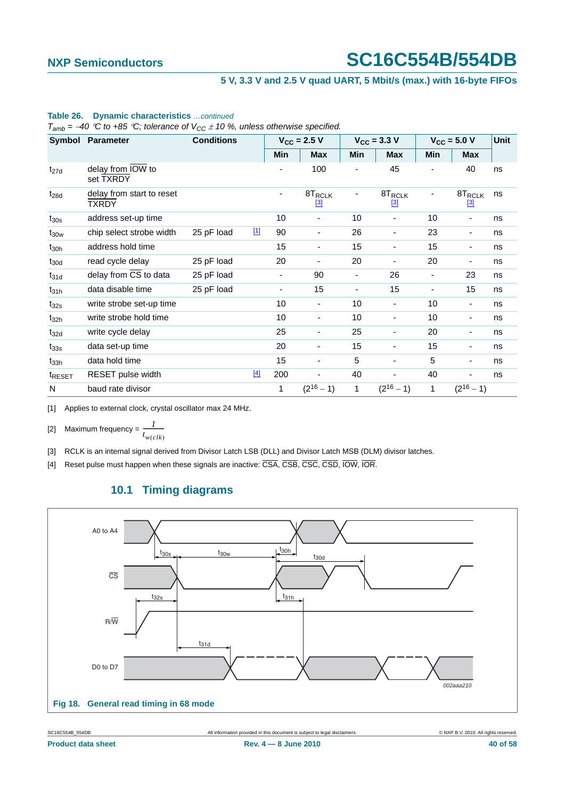#### **5 V, 3.3 V and 2.5 V quad UART, 5 Mbit/s (max.) with 16-byte FIFOs**

|                    | Symbol Parameter                            | <b>Conditions</b> |             |     | $V_{CC}$ = 2.5 V            |                          | $V_{CC}$ = 3.3 V            |                          | $V_{CC}$ = 5.0 V         | Unit |
|--------------------|---------------------------------------------|-------------------|-------------|-----|-----------------------------|--------------------------|-----------------------------|--------------------------|--------------------------|------|
|                    |                                             |                   |             | Min | <b>Max</b>                  | Min                      | <b>Max</b>                  | Min                      | <b>Max</b>               |      |
| $t_{27d}$          | delay from $IO\overline{W}$ to<br>set TXRDY |                   |             |     | 100                         |                          | 45                          |                          | 40                       | ns   |
| $t_{28d}$          | delay from start to reset<br>TXRDY          |                   |             |     | 8T <sub>RCLK</sub><br>$[3]$ |                          | 8T <sub>RCLK</sub><br>$[3]$ |                          | $8T_{RCLK}$<br>$[3]$     | ns   |
| $t_{30s}$          | address set-up time                         |                   |             | 10  | ٠                           | 10                       | ٠                           | 10                       | ٠                        | ns   |
| $t_{30w}$          | chip select strobe width                    | 25 pF load        | $\boxed{1}$ | 90  | $\overline{\phantom{a}}$    | 26                       | $\overline{\phantom{a}}$    | 23                       | $\overline{\phantom{a}}$ | ns   |
| $t_{30h}$          | address hold time                           |                   |             | 15  | $\blacksquare$              | 15                       | $\blacksquare$              | 15                       | $\overline{\phantom{a}}$ | ns   |
| $t_{30d}$          | read cycle delay                            | 25 pF load        |             | 20  | ٠                           | 20                       | ٠                           | 20                       | ٠                        | ns   |
| $t_{31d}$          | delay from CS to data                       | 25 pF load        |             | ۰   | 90                          | $\overline{\phantom{0}}$ | 26                          | $\overline{\phantom{a}}$ | 23                       | ns   |
| $t_{31h}$          | data disable time                           | 25 pF load        |             |     | 15                          |                          | 15                          |                          | 15                       | ns   |
| $t_{32s}$          | write strobe set-up time                    |                   |             | 10  | $\overline{\phantom{a}}$    | 10                       | $\overline{\phantom{a}}$    | 10                       | $\overline{\phantom{a}}$ | ns   |
| $t_{32h}$          | write strobe hold time                      |                   |             | 10  | $\blacksquare$              | 10                       | $\blacksquare$              | 10                       | $\overline{\phantom{a}}$ | ns   |
| $t_{32d}$          | write cycle delay                           |                   |             | 25  | $\blacksquare$              | 25                       | $\blacksquare$              | 20                       | $\overline{\phantom{a}}$ | ns   |
| $t_{33s}$          | data set-up time                            |                   |             | 20  | ٠                           | 15                       | ٠                           | 15                       | ٠                        | ns   |
| $t_{33h}$          | data hold time                              |                   |             | 15  | $\overline{\phantom{0}}$    | 5                        | $\overline{\phantom{0}}$    | 5                        | $\overline{\phantom{a}}$ | ns   |
| t <sub>RESET</sub> | RESET pulse width                           |                   | $[4]$       | 200 |                             | 40                       |                             | 40                       |                          | ns   |
| N                  | baud rate divisor                           |                   |             | 1   | $(2^{16} - 1)$              | 1                        | $(2^{16} - 1)$              | 1                        | $(2^{16} - 1)$           |      |

#### **Table 26. Dynamic characteristics** *…continued*

 $T_{amb}$  = −40 °C to +85 °C; tolerance of  $V_{CC}$   $\pm$  10 %, unless otherwise specified.

<span id="page-39-1"></span><span id="page-39-0"></span>[1] Applies to external clock, crystal oscillator max 24 MHz.

[2] Maximum frequency =  $\frac{1}{1}$  $t_{w(clk)}$  $\frac{1}{\cdot}$ 

<span id="page-39-2"></span>[3] RCLK is an internal signal derived from Divisor Latch LSB (DLL) and Divisor Latch MSB (DLM) divisor latches.

<span id="page-39-4"></span><span id="page-39-3"></span>[4] Reset pulse must happen when these signals are inactive: CSA, CSB, CSC, CSD, IOW, IOR.

### **10.1 Timing diagrams**

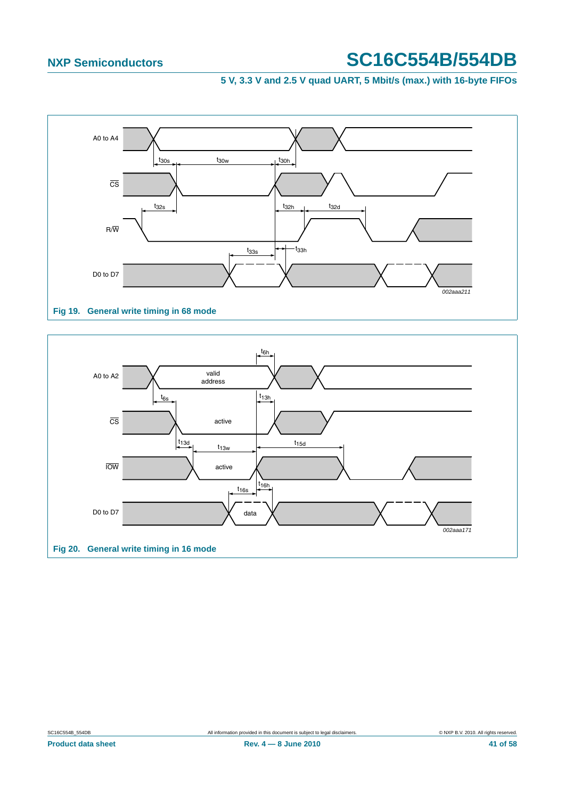### **5 V, 3.3 V and 2.5 V quad UART, 5 Mbit/s (max.) with 16-byte FIFOs**



#### **Fig 19. General write timing in 68 mode**

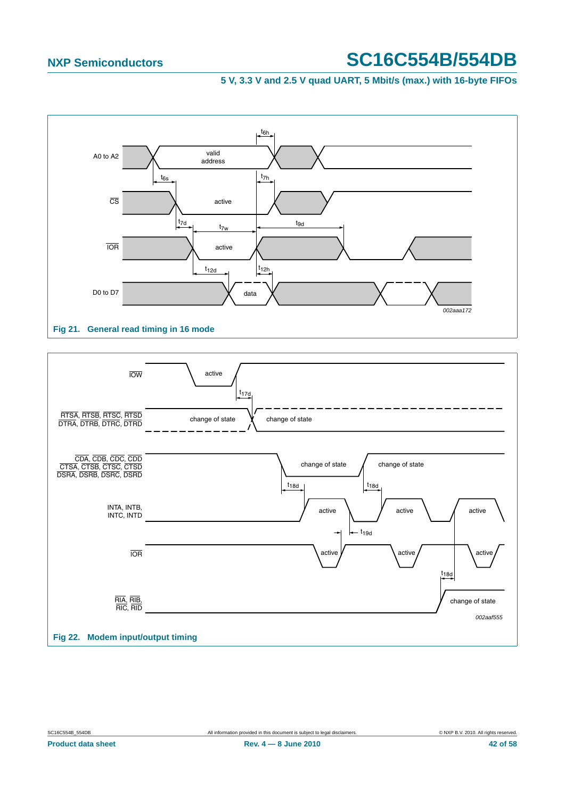#### **5 V, 3.3 V and 2.5 V quad UART, 5 Mbit/s (max.) with 16-byte FIFOs**



#### **Fig 21. General read timing in 16 mode**

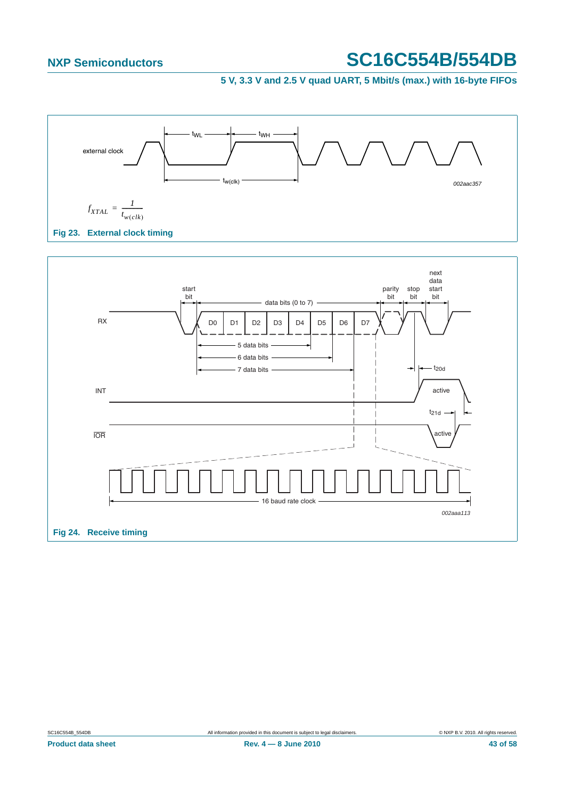

<span id="page-42-0"></span>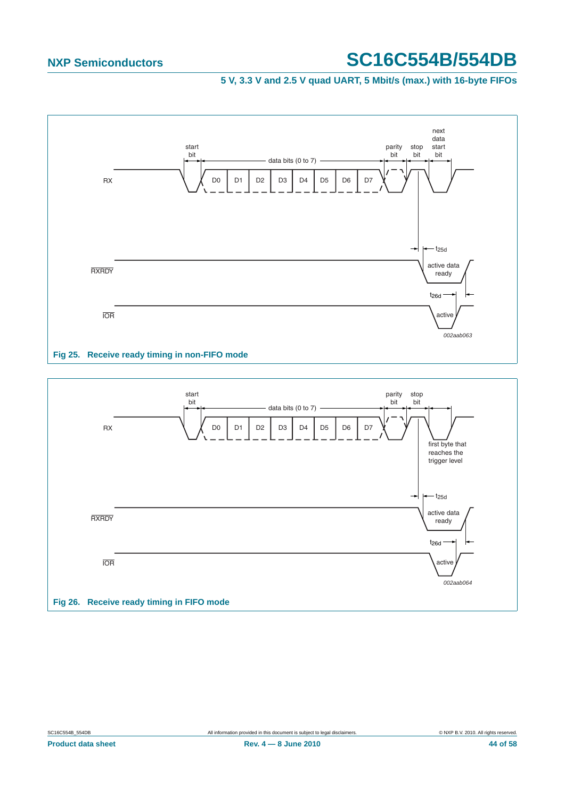

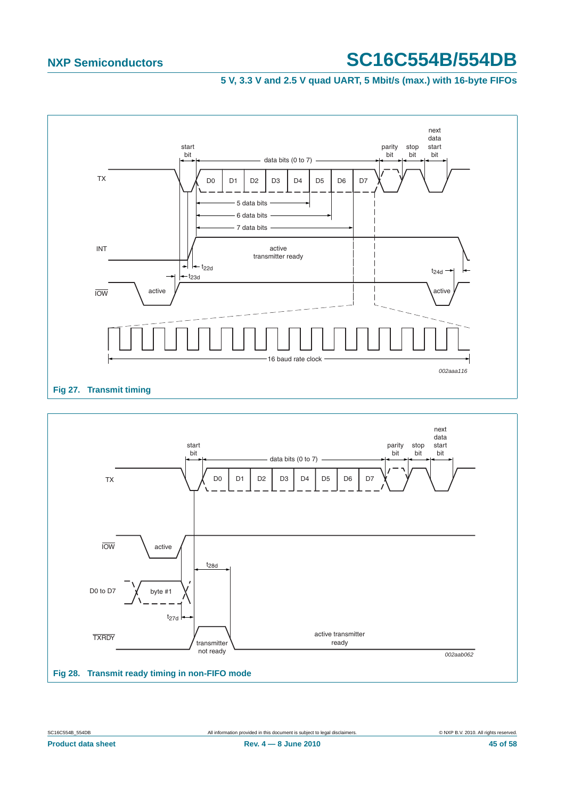

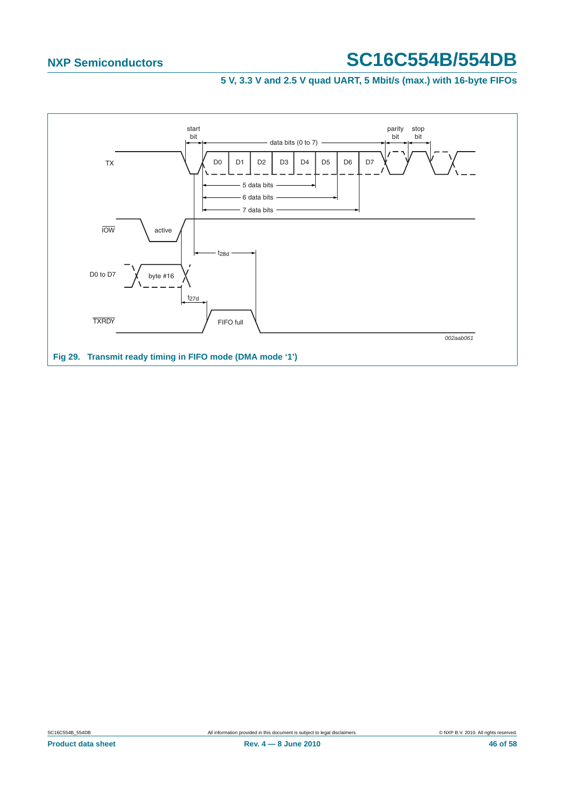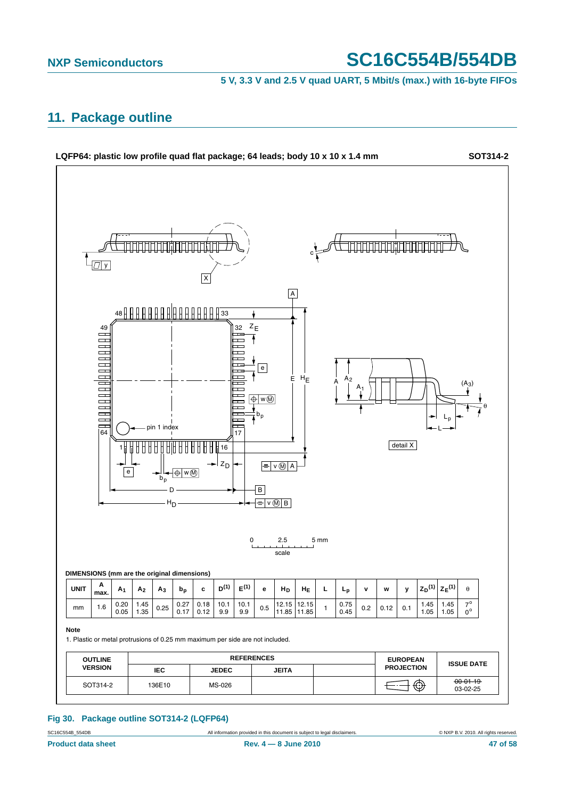#### **5 V, 3.3 V and 2.5 V quad UART, 5 Mbit/s (max.) with 16-byte FIFOs**

## <span id="page-46-0"></span>**11. Package outline**



#### **Fig 30. Package outline SOT314-2 (LQFP64)**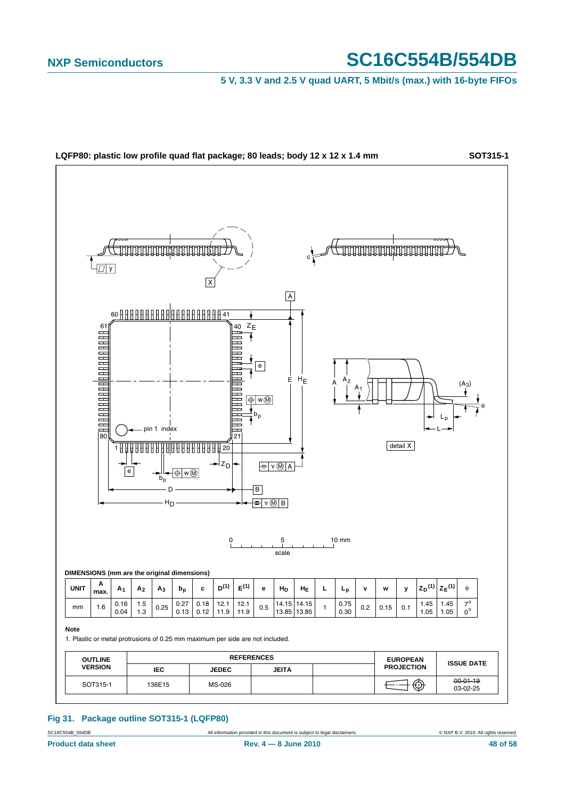**5 V, 3.3 V and 2.5 V quad UART, 5 Mbit/s (max.) with 16-byte FIFOs**



#### **Fig 31. Package outline SOT315-1 (LQFP80)**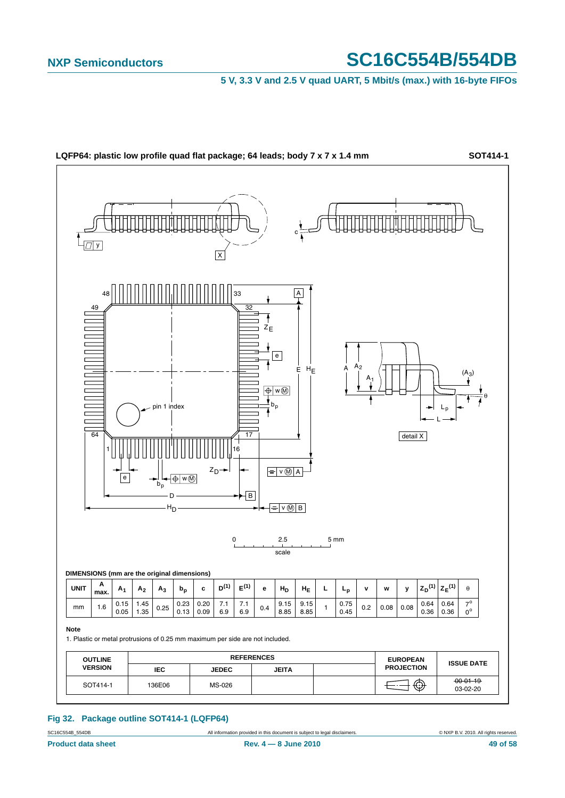**5 V, 3.3 V and 2.5 V quad UART, 5 Mbit/s (max.) with 16-byte FIFOs**



**Fig 32. Package outline SOT414-1 (LQFP64)**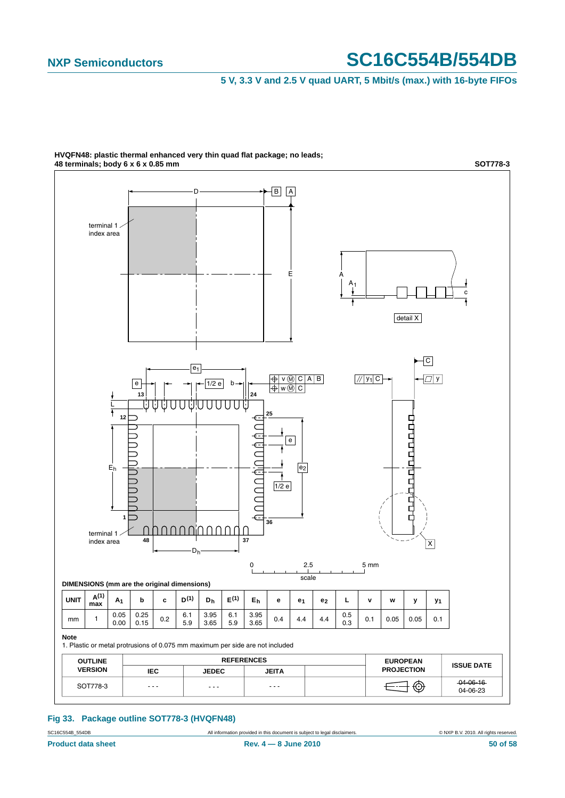**5 V, 3.3 V and 2.5 V quad UART, 5 Mbit/s (max.) with 16-byte FIFOs**



**HVQFN48: plastic thermal enhanced very thin quad flat package; no leads; 48 terminals; body 6 x 6 x 0.85 mm**

**Fig 33. Package outline SOT778-3 (HVQFN48)**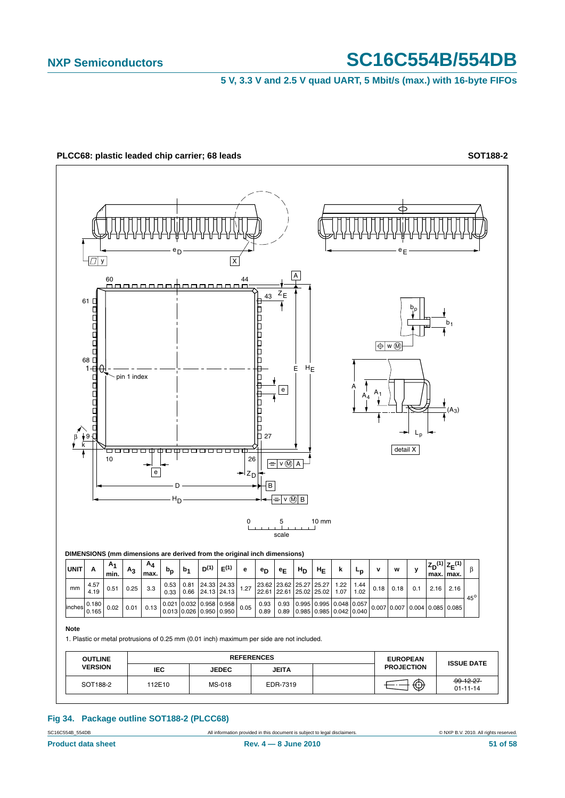**5 V, 3.3 V and 2.5 V quad UART, 5 Mbit/s (max.) with 16-byte FIFOs**



**Fig 34. Package outline SOT188-2 (PLCC68)**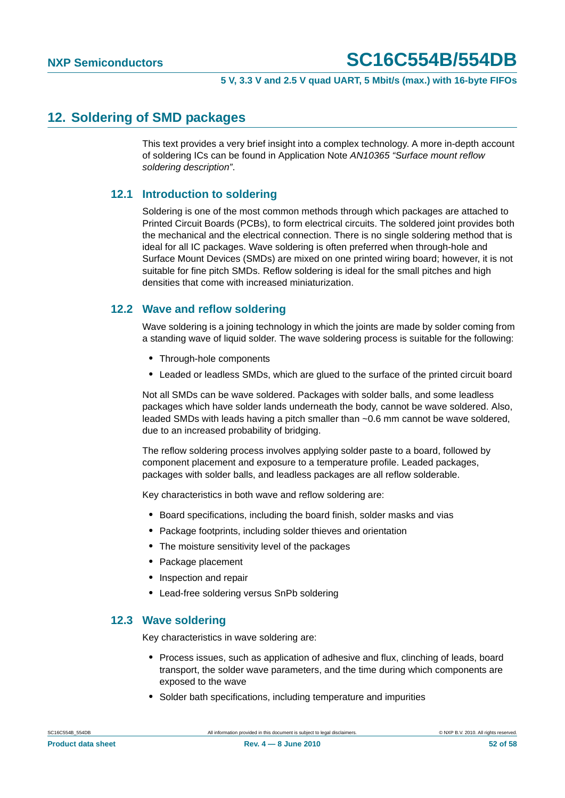## <span id="page-51-0"></span>**12. Soldering of SMD packages**

This text provides a very brief insight into a complex technology. A more in-depth account of soldering ICs can be found in Application Note *AN10365 "Surface mount reflow soldering description"*.

### <span id="page-51-1"></span>**12.1 Introduction to soldering**

Soldering is one of the most common methods through which packages are attached to Printed Circuit Boards (PCBs), to form electrical circuits. The soldered joint provides both the mechanical and the electrical connection. There is no single soldering method that is ideal for all IC packages. Wave soldering is often preferred when through-hole and Surface Mount Devices (SMDs) are mixed on one printed wiring board; however, it is not suitable for fine pitch SMDs. Reflow soldering is ideal for the small pitches and high densities that come with increased miniaturization.

### <span id="page-51-2"></span>**12.2 Wave and reflow soldering**

Wave soldering is a joining technology in which the joints are made by solder coming from a standing wave of liquid solder. The wave soldering process is suitable for the following:

- **•** Through-hole components
- **•** Leaded or leadless SMDs, which are glued to the surface of the printed circuit board

Not all SMDs can be wave soldered. Packages with solder balls, and some leadless packages which have solder lands underneath the body, cannot be wave soldered. Also, leaded SMDs with leads having a pitch smaller than ~0.6 mm cannot be wave soldered, due to an increased probability of bridging.

The reflow soldering process involves applying solder paste to a board, followed by component placement and exposure to a temperature profile. Leaded packages, packages with solder balls, and leadless packages are all reflow solderable.

Key characteristics in both wave and reflow soldering are:

- **•** Board specifications, including the board finish, solder masks and vias
- **•** Package footprints, including solder thieves and orientation
- **•** The moisture sensitivity level of the packages
- **•** Package placement
- **•** Inspection and repair
- **•** Lead-free soldering versus SnPb soldering

#### <span id="page-51-3"></span>**12.3 Wave soldering**

Key characteristics in wave soldering are:

- **•** Process issues, such as application of adhesive and flux, clinching of leads, board transport, the solder wave parameters, and the time during which components are exposed to the wave
- **•** Solder bath specifications, including temperature and impurities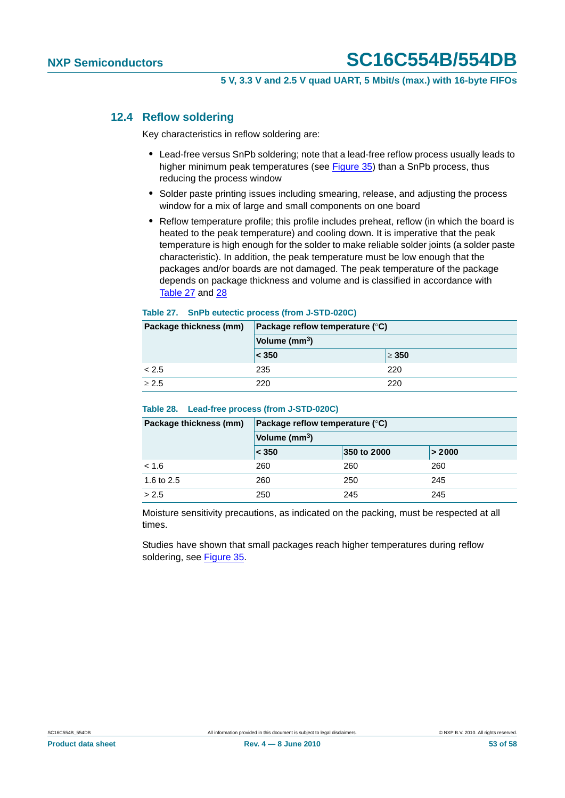### <span id="page-52-0"></span>**12.4 Reflow soldering**

Key characteristics in reflow soldering are:

- **•** Lead-free versus SnPb soldering; note that a lead-free reflow process usually leads to higher minimum peak temperatures (see Figure 35) than a SnPb process, thus reducing the process window
- **•** Solder paste printing issues including smearing, release, and adjusting the process window for a mix of large and small components on one board
- **•** Reflow temperature profile; this profile includes preheat, reflow (in which the board is heated to the peak temperature) and cooling down. It is imperative that the peak temperature is high enough for the solder to make reliable solder joints (a solder paste characteristic). In addition, the peak temperature must be low enough that the packages and/or boards are not damaged. The peak temperature of the package depends on package thickness and volume and is classified in accordance with Table 27 and 28

#### **Table 27. SnPb eutectic process (from J-STD-020C)**

| Package thickness (mm) | Package reflow temperature $(^\circ \text{C})$ |            |  |  |
|------------------------|------------------------------------------------|------------|--|--|
|                        | Volume (mm <sup>3</sup> )                      |            |  |  |
|                        | < 350                                          | $\geq 350$ |  |  |
| < 2.5                  | 235                                            | 220        |  |  |
| > 2.5                  | 220                                            | 220        |  |  |

#### **Table 28. Lead-free process (from J-STD-020C)**

| Package thickness (mm) | Package reflow temperature $(°C)$ |             |        |  |  |  |
|------------------------|-----------------------------------|-------------|--------|--|--|--|
|                        | Volume (mm <sup>3</sup> )         |             |        |  |  |  |
|                        | $\leq 350$                        | 350 to 2000 | > 2000 |  |  |  |
| < 1.6                  | 260                               | 260         | 260    |  |  |  |
| 1.6 to 2.5             | 260                               | 250         | 245    |  |  |  |
| > 2.5                  | 250                               | 245         | 245    |  |  |  |

Moisture sensitivity precautions, as indicated on the packing, must be respected at all times.

Studies have shown that small packages reach higher temperatures during reflow soldering, see Figure 35.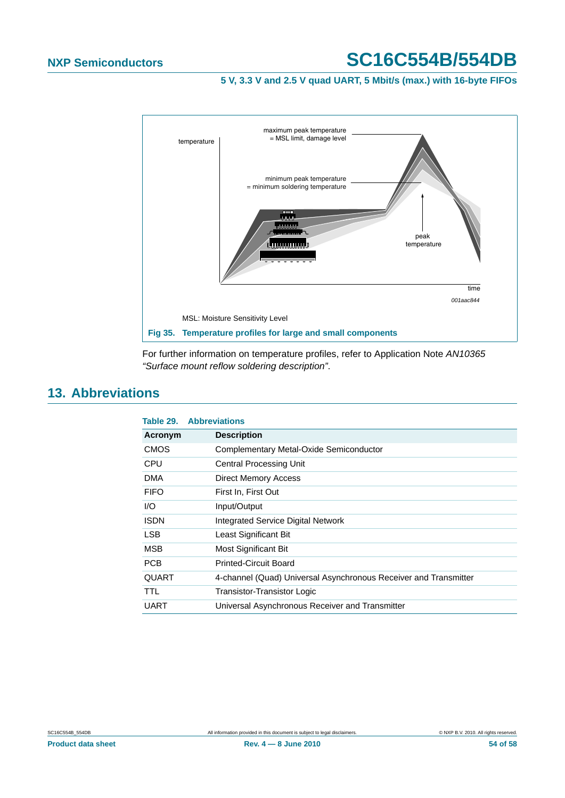**5 V, 3.3 V and 2.5 V quad UART, 5 Mbit/s (max.) with 16-byte FIFOs**



For further information on temperature profiles, refer to Application Note *AN10365 "Surface mount reflow soldering description"*.

## <span id="page-53-0"></span>**13. Abbreviations**

| Table 29.    | <b>Abbreviations</b>                                             |
|--------------|------------------------------------------------------------------|
| Acronym      | <b>Description</b>                                               |
| <b>CMOS</b>  | Complementary Metal-Oxide Semiconductor                          |
| <b>CPU</b>   | Central Processing Unit                                          |
| <b>DMA</b>   | <b>Direct Memory Access</b>                                      |
| <b>FIFO</b>  | First In, First Out                                              |
| I/O          | Input/Output                                                     |
| <b>ISDN</b>  | Integrated Service Digital Network                               |
| LSB          | Least Significant Bit                                            |
| <b>MSB</b>   | Most Significant Bit                                             |
| <b>PCB</b>   | <b>Printed-Circuit Board</b>                                     |
| <b>QUART</b> | 4-channel (Quad) Universal Asynchronous Receiver and Transmitter |
| TTL          | Transistor-Transistor Logic                                      |
| <b>UART</b>  | Universal Asynchronous Receiver and Transmitter                  |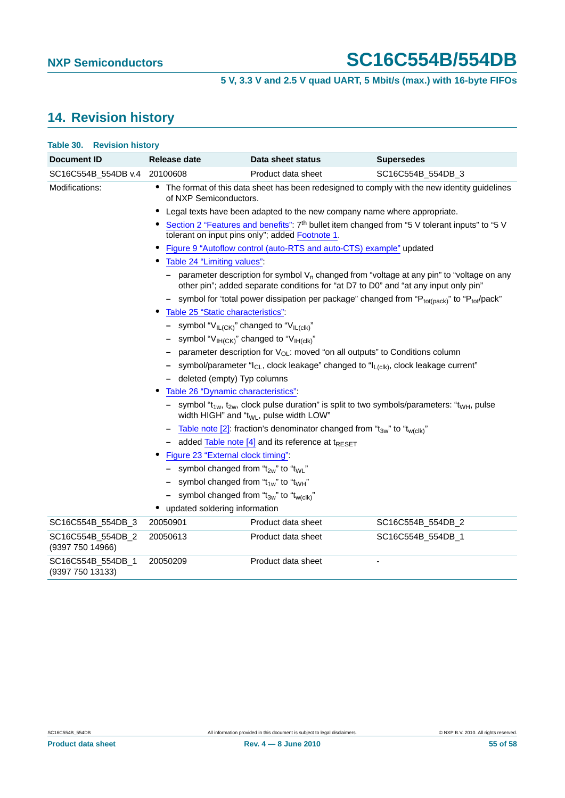## <span id="page-54-0"></span>**14. Revision history**

| Table 30.<br><b>Revision history</b>  |                                                                                                                                                                                    |                    |                   |  |  |
|---------------------------------------|------------------------------------------------------------------------------------------------------------------------------------------------------------------------------------|--------------------|-------------------|--|--|
| <b>Document ID</b>                    | <b>Release date</b>                                                                                                                                                                | Data sheet status  | <b>Supersedes</b> |  |  |
| SC16C554B_554DB v.4                   | 20100608                                                                                                                                                                           | Product data sheet | SC16C554B_554DB_3 |  |  |
| Modifications:                        | • The format of this data sheet has been redesigned to comply with the new identity guidelines<br>of NXP Semiconductors.                                                           |                    |                   |  |  |
|                                       | Legal texts have been adapted to the new company name where appropriate.<br>$\bullet$                                                                                              |                    |                   |  |  |
|                                       | • Section 2 "Features and benefits": 7 <sup>th</sup> bullet item changed from "5 V tolerant inputs" to "5 V<br>tolerant on input pins only"; added Footnote 1.                     |                    |                   |  |  |
|                                       | Figure 9 "Autoflow control (auto-RTS and auto-CTS) example" updated<br>$\bullet$                                                                                                   |                    |                   |  |  |
|                                       | Table 24 "Limiting values".                                                                                                                                                        |                    |                   |  |  |
|                                       | parameter description for symbol $V_n$ changed from "voltage at any pin" to "voltage on any<br>other pin"; added separate conditions for "at D7 to D0" and "at any input only pin" |                    |                   |  |  |
|                                       | - symbol for 'total power dissipation per package" changed from " $P_{tot(pack)}$ " to " $P_{tot}(pack)$ "                                                                         |                    |                   |  |  |
|                                       | Table 25 "Static characteristics":                                                                                                                                                 |                    |                   |  |  |
|                                       | - symbol " $V_{IL(CK)}$ " changed to " $V_{IL(ck)}$ "                                                                                                                              |                    |                   |  |  |
|                                       | symbol "V <sub>IH(CK)</sub> " changed to "V <sub>IH(clk)</sub> "                                                                                                                   |                    |                   |  |  |
|                                       | parameter description for $V_{OL}$ : moved "on all outputs" to Conditions column                                                                                                   |                    |                   |  |  |
|                                       | symbol/parameter " $I_{CL}$ , clock leakage" changed to " $I_{L(c k)}$ , clock leakage current"                                                                                    |                    |                   |  |  |
|                                       | - deleted (empty) Typ columns                                                                                                                                                      |                    |                   |  |  |
|                                       | Table 26 "Dynamic characteristics":                                                                                                                                                |                    |                   |  |  |
|                                       | - symbol " $t_{1w}$ , $t_{2w}$ , clock pulse duration" is split to two symbols/parameters: " $t_{WH}$ , pulse<br>width HIGH" and "t <sub>WL</sub> , pulse width LOW"               |                    |                   |  |  |
|                                       | - Table note [2]: fraction's denominator changed from " $t_{3w}$ " to " $t_{w(c k)}$ "                                                                                             |                    |                   |  |  |
|                                       | - added Table note [4] and its reference at t <sub>RESET</sub>                                                                                                                     |                    |                   |  |  |
|                                       | Figure 23 "External clock timing":                                                                                                                                                 |                    |                   |  |  |
|                                       | - symbol changed from " $t_{2w}$ " to " $t_{WL}$ "                                                                                                                                 |                    |                   |  |  |
|                                       | - symbol changed from " $t_{1w}$ " to " $t_{WH}$ "                                                                                                                                 |                    |                   |  |  |
|                                       | - symbol changed from " $t_{3w}$ " to " $t_{w(c k)}$ "                                                                                                                             |                    |                   |  |  |
|                                       | • updated soldering information                                                                                                                                                    |                    |                   |  |  |
| SC16C554B_554DB_3                     | 20050901                                                                                                                                                                           | Product data sheet | SC16C554B_554DB_2 |  |  |
| SC16C554B_554DB_2<br>(9397 750 14966) | 20050613                                                                                                                                                                           | Product data sheet | SC16C554B_554DB_1 |  |  |
| SC16C554B_554DB_1                     | 20050209                                                                                                                                                                           | Product data sheet |                   |  |  |

(9397 750 13133)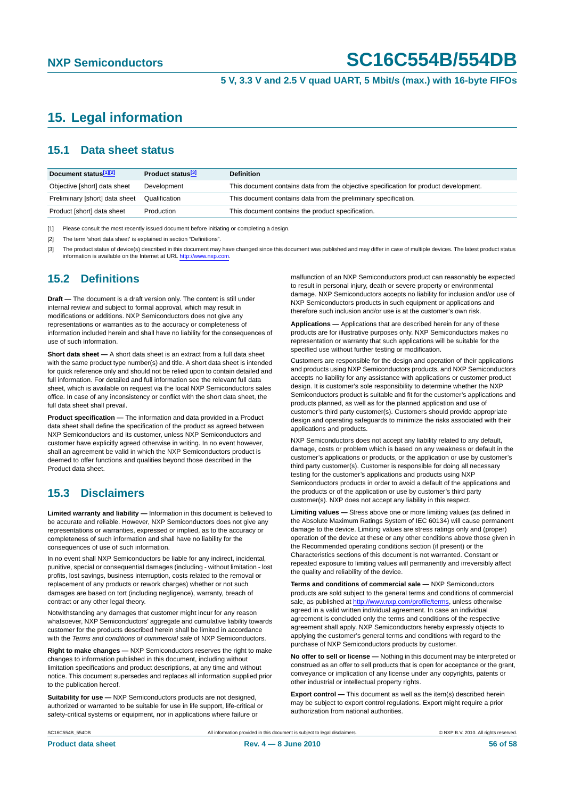## <span id="page-55-0"></span>**15. Legal information**

### <span id="page-55-1"></span>**15.1 Data sheet status**

| Document status[1][2]          | Product status <sup>[3]</sup> | <b>Definition</b>                                                                     |
|--------------------------------|-------------------------------|---------------------------------------------------------------------------------------|
| Objective [short] data sheet   | Development                   | This document contains data from the objective specification for product development. |
| Preliminary [short] data sheet | Qualification                 | This document contains data from the preliminary specification.                       |
| Product [short] data sheet     | Production                    | This document contains the product specification.                                     |

[1] Please consult the most recently issued document before initiating or completing a design.

[2] The term 'short data sheet' is explained in section "Definitions".

[3] The product status of device(s) described in this document may have changed since this document was published and may differ in case of multiple devices. The latest product status<br>information is available on the Intern

#### <span id="page-55-2"></span>**15.2 Definitions**

**Draft —** The document is a draft version only. The content is still under internal review and subject to formal approval, which may result in modifications or additions. NXP Semiconductors does not give any representations or warranties as to the accuracy or completeness of information included herein and shall have no liability for the consequences of use of such information.

**Short data sheet —** A short data sheet is an extract from a full data sheet with the same product type number(s) and title. A short data sheet is intended for quick reference only and should not be relied upon to contain detailed and full information. For detailed and full information see the relevant full data sheet, which is available on request via the local NXP Semiconductors sales office. In case of any inconsistency or conflict with the short data sheet, the full data sheet shall prevail.

**Product specification —** The information and data provided in a Product data sheet shall define the specification of the product as agreed between NXP Semiconductors and its customer, unless NXP Semiconductors and customer have explicitly agreed otherwise in writing. In no event however, shall an agreement be valid in which the NXP Semiconductors product is deemed to offer functions and qualities beyond those described in the Product data sheet.

### <span id="page-55-3"></span>**15.3 Disclaimers**

**Limited warranty and liability —** Information in this document is believed to be accurate and reliable. However, NXP Semiconductors does not give any representations or warranties, expressed or implied, as to the accuracy or completeness of such information and shall have no liability for the consequences of use of such information.

In no event shall NXP Semiconductors be liable for any indirect, incidental, punitive, special or consequential damages (including - without limitation - lost profits, lost savings, business interruption, costs related to the removal or replacement of any products or rework charges) whether or not such damages are based on tort (including negligence), warranty, breach of contract or any other legal theory.

Notwithstanding any damages that customer might incur for any reason whatsoever, NXP Semiconductors' aggregate and cumulative liability towards customer for the products described herein shall be limited in accordance with the *Terms and conditions of commercial sale* of NXP Semiconductors.

**Right to make changes —** NXP Semiconductors reserves the right to make changes to information published in this document, including without limitation specifications and product descriptions, at any time and without notice. This document supersedes and replaces all information supplied prior to the publication hereof.

**Suitability for use —** NXP Semiconductors products are not designed, authorized or warranted to be suitable for use in life support, life-critical or safety-critical systems or equipment, nor in applications where failure or

malfunction of an NXP Semiconductors product can reasonably be expected to result in personal injury, death or severe property or environmental damage. NXP Semiconductors accepts no liability for inclusion and/or use of NXP Semiconductors products in such equipment or applications and therefore such inclusion and/or use is at the customer's own risk.

**Applications —** Applications that are described herein for any of these products are for illustrative purposes only. NXP Semiconductors makes no representation or warranty that such applications will be suitable for the specified use without further testing or modification.

Customers are responsible for the design and operation of their applications and products using NXP Semiconductors products, and NXP Semiconductors accepts no liability for any assistance with applications or customer product design. It is customer's sole responsibility to determine whether the NXP Semiconductors product is suitable and fit for the customer's applications and products planned, as well as for the planned application and use of customer's third party customer(s). Customers should provide appropriate design and operating safeguards to minimize the risks associated with their applications and products.

NXP Semiconductors does not accept any liability related to any default, damage, costs or problem which is based on any weakness or default in the customer's applications or products, or the application or use by customer's third party customer(s). Customer is responsible for doing all necessary testing for the customer's applications and products using NXP Semiconductors products in order to avoid a default of the applications and the products or of the application or use by customer's third party customer(s). NXP does not accept any liability in this respect.

**Limiting values —** Stress above one or more limiting values (as defined in the Absolute Maximum Ratings System of IEC 60134) will cause permanent damage to the device. Limiting values are stress ratings only and (proper) operation of the device at these or any other conditions above those given in the Recommended operating conditions section (if present) or the Characteristics sections of this document is not warranted. Constant or repeated exposure to limiting values will permanently and irreversibly affect the quality and reliability of the device.

**Terms and conditions of commercial sale —** NXP Semiconductors products are sold subject to the general terms and conditions of commercial sale, as published at<http://www.nxp.com/profile/terms>, unless otherwise agreed in a valid written individual agreement. In case an individual agreement is concluded only the terms and conditions of the respective agreement shall apply. NXP Semiconductors hereby expressly objects to applying the customer's general terms and conditions with regard to the purchase of NXP Semiconductors products by customer.

**No offer to sell or license —** Nothing in this document may be interpreted or construed as an offer to sell products that is open for acceptance or the grant, conveyance or implication of any license under any copyrights, patents or other industrial or intellectual property rights.

**Export control —** This document as well as the item(s) described herein may be subject to export control regulations. Export might require a prior authorization from national authorities.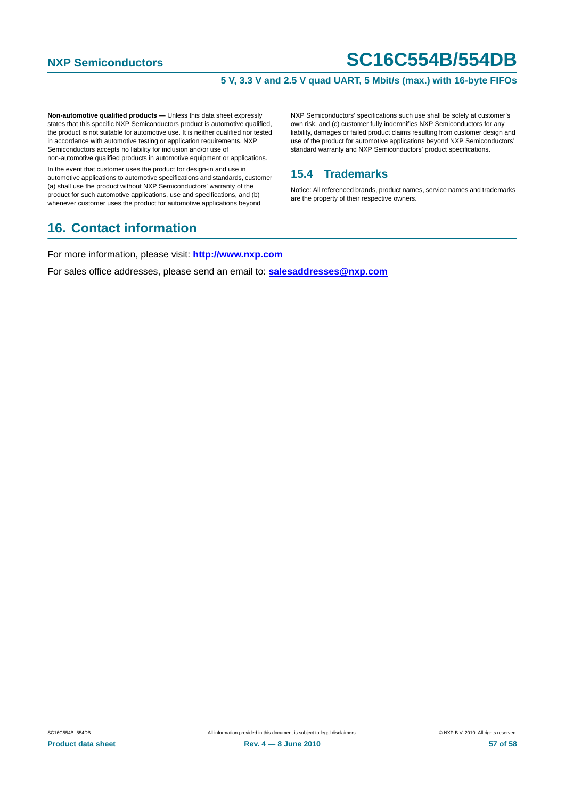#### **5 V, 3.3 V and 2.5 V quad UART, 5 Mbit/s (max.) with 16-byte FIFOs**

**Non-automotive qualified products —** Unless this data sheet expressly states that this specific NXP Semiconductors product is automotive qualified, the product is not suitable for automotive use. It is neither qualified nor tested in accordance with automotive testing or application requirements. NXP Semiconductors accepts no liability for inclusion and/or use of non-automotive qualified products in automotive equipment or applications.

In the event that customer uses the product for design-in and use in automotive applications to automotive specifications and standards, customer (a) shall use the product without NXP Semiconductors' warranty of the product for such automotive applications, use and specifications, and (b) whenever customer uses the product for automotive applications beyond

## <span id="page-56-1"></span>**16. Contact information**

NXP Semiconductors' specifications such use shall be solely at customer's own risk, and (c) customer fully indemnifies NXP Semiconductors for any liability, damages or failed product claims resulting from customer design and use of the product for automotive applications beyond NXP Semiconductors' standard warranty and NXP Semiconductors' product specifications.

### <span id="page-56-0"></span>**15.4 Trademarks**

Notice: All referenced brands, product names, service names and trademarks are the property of their respective owners.

For more information, please visit: **http://www.nxp.com**

For sales office addresses, please send an email to: **salesaddresses@nxp.com**